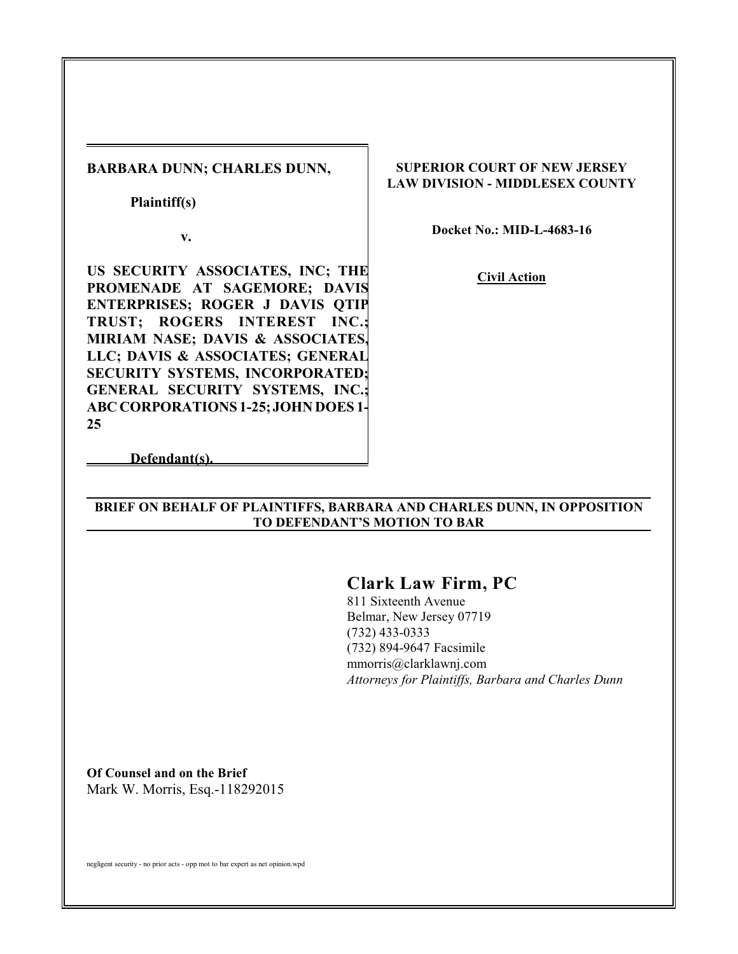**BARBARA DUNN; CHARLES DUNN,**

**US SECURITY ASSOCIATES, INC; THE PROMENADE AT SAGEMORE; DAVIS ENTERPRISES; ROGER J DAVIS QTIP TRUST; ROGERS INTEREST INC.; MIRIAM NASE; DAVIS & ASSOCIATES, LLC; DAVIS & ASSOCIATES; GENERAL SECURITY SYSTEMS, INCORPORATED; GENERAL SECURITY SYSTEMS, INC.; ABC CORPORATIONS 1-25; JOHN DOES 1-**

 **Plaintiff(s)**

**v.** 

**LAW DIVISION - MIDDLESEX COUNTY**

**SUPERIOR COURT OF NEW JERSEY**

**Docket No.: MID-L-4683-16**

**Civil Action**

 **Defendant(s).**

**25**

#### **BRIEF ON BEHALF OF PLAINTIFFS, BARBARA AND CHARLES DUNN, IN OPPOSITION TO DEFENDANT'S MOTION TO BAR**

## **Clark Law Firm, PC**

811 Sixteenth Avenue Belmar, New Jersey 07719 (732) 433-0333 (732) 894-9647 Facsimile mmorris@clarklawnj.com *Attorneys for Plaintiffs, Barbara and Charles Dunn*

**Of Counsel and on the Brief** Mark W. Morris, Esq.-118292015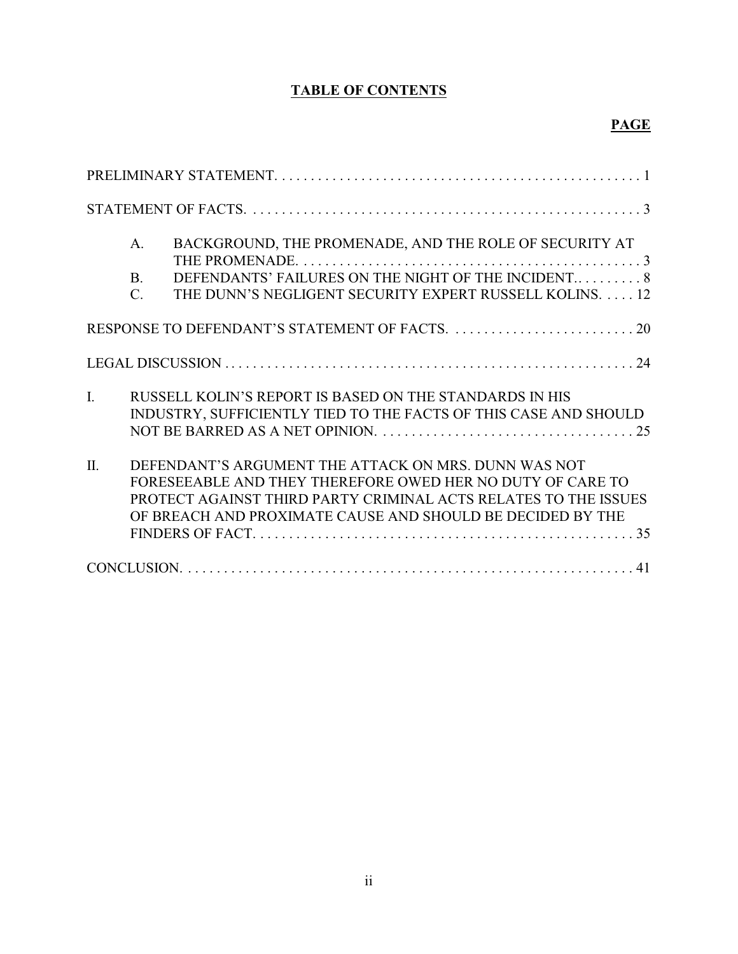# **TABLE OF CONTENTS**

|                | A <sub>1</sub>               | BACKGROUND, THE PROMENADE, AND THE ROLE OF SECURITY AT                                                                                                                                                                                              |  |
|----------------|------------------------------|-----------------------------------------------------------------------------------------------------------------------------------------------------------------------------------------------------------------------------------------------------|--|
|                | <b>B.</b><br>$\mathcal{C}$ . | DEFENDANTS' FAILURES ON THE NIGHT OF THE INCIDENT 8<br>THE DUNN'S NEGLIGENT SECURITY EXPERT RUSSELL KOLINS. 12                                                                                                                                      |  |
|                |                              |                                                                                                                                                                                                                                                     |  |
|                |                              |                                                                                                                                                                                                                                                     |  |
| $\mathbf{I}$ . |                              | RUSSELL KOLIN'S REPORT IS BASED ON THE STANDARDS IN HIS<br>INDUSTRY, SUFFICIENTLY TIED TO THE FACTS OF THIS CASE AND SHOULD                                                                                                                         |  |
| $\Pi$ .        |                              | DEFENDANT'S ARGUMENT THE ATTACK ON MRS. DUNN WAS NOT<br>FORESEEABLE AND THEY THEREFORE OWED HER NO DUTY OF CARE TO<br>PROTECT AGAINST THIRD PARTY CRIMINAL ACTS RELATES TO THE ISSUES<br>OF BREACH AND PROXIMATE CAUSE AND SHOULD BE DECIDED BY THE |  |
|                |                              |                                                                                                                                                                                                                                                     |  |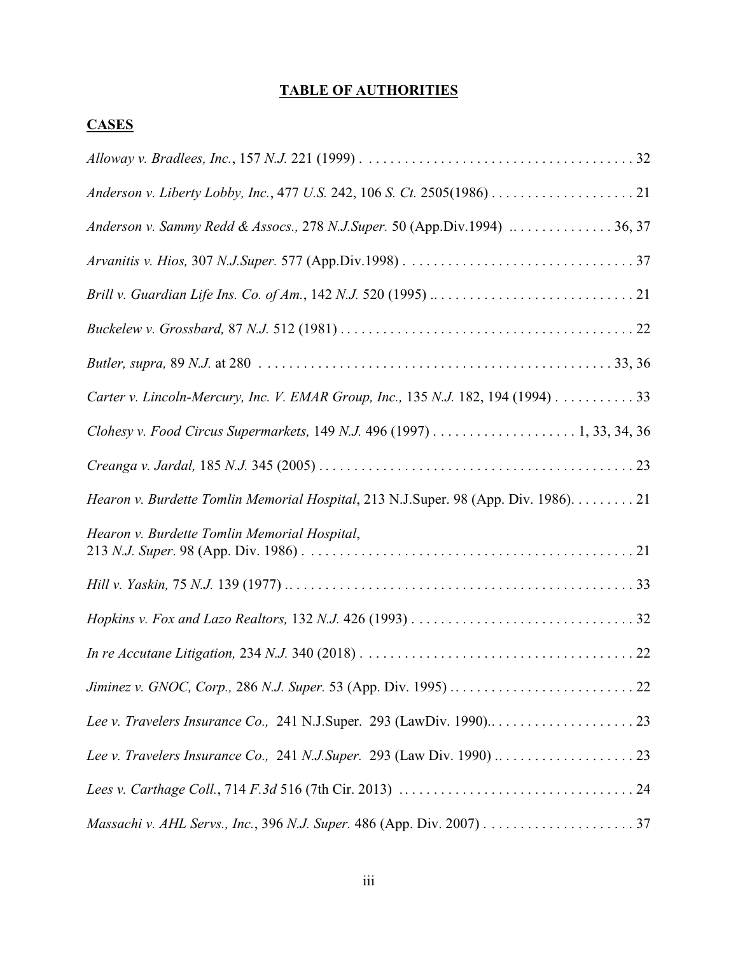# **TABLE OF AUTHORITIES**

# **CASES**

| Anderson v. Sammy Redd & Assocs., 278 N.J.Super. 50 (App.Div.1994)  36, 37          |
|-------------------------------------------------------------------------------------|
|                                                                                     |
|                                                                                     |
|                                                                                     |
|                                                                                     |
| Carter v. Lincoln-Mercury, Inc. V. EMAR Group, Inc., 135 N.J. 182, 194 (1994) 33    |
|                                                                                     |
|                                                                                     |
| Hearon v. Burdette Tomlin Memorial Hospital, 213 N.J.Super. 98 (App. Div. 1986). 21 |
| Hearon v. Burdette Tomlin Memorial Hospital,                                        |
|                                                                                     |
|                                                                                     |
|                                                                                     |
|                                                                                     |
|                                                                                     |
|                                                                                     |
|                                                                                     |
|                                                                                     |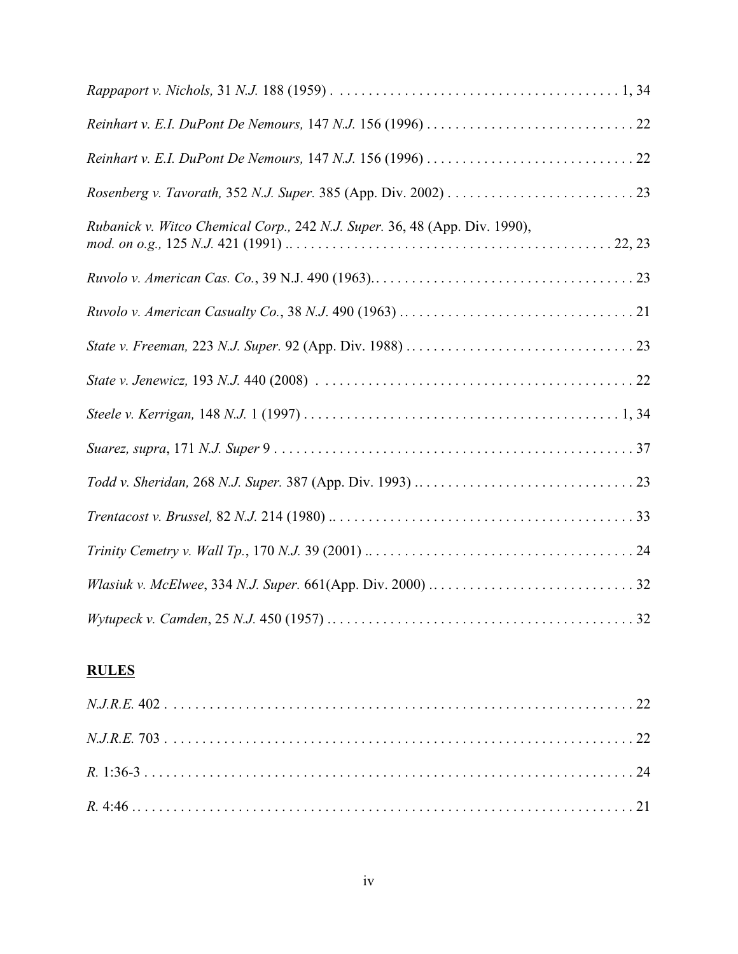| Rubanick v. Witco Chemical Corp., 242 N.J. Super. 36, 48 (App. Div. 1990),                                                    |
|-------------------------------------------------------------------------------------------------------------------------------|
|                                                                                                                               |
|                                                                                                                               |
|                                                                                                                               |
|                                                                                                                               |
|                                                                                                                               |
|                                                                                                                               |
|                                                                                                                               |
|                                                                                                                               |
| Trinity Cemetry v. Wall Tp., 170 N.J. 39 (2001) $\dots\dots\dots\dots\dots\dots\dots\dots\dots\dots\dots\dots\dots\dots\dots$ |
|                                                                                                                               |
|                                                                                                                               |

# **RULES**

| $R. 1:36-3$ |
|-------------|
|             |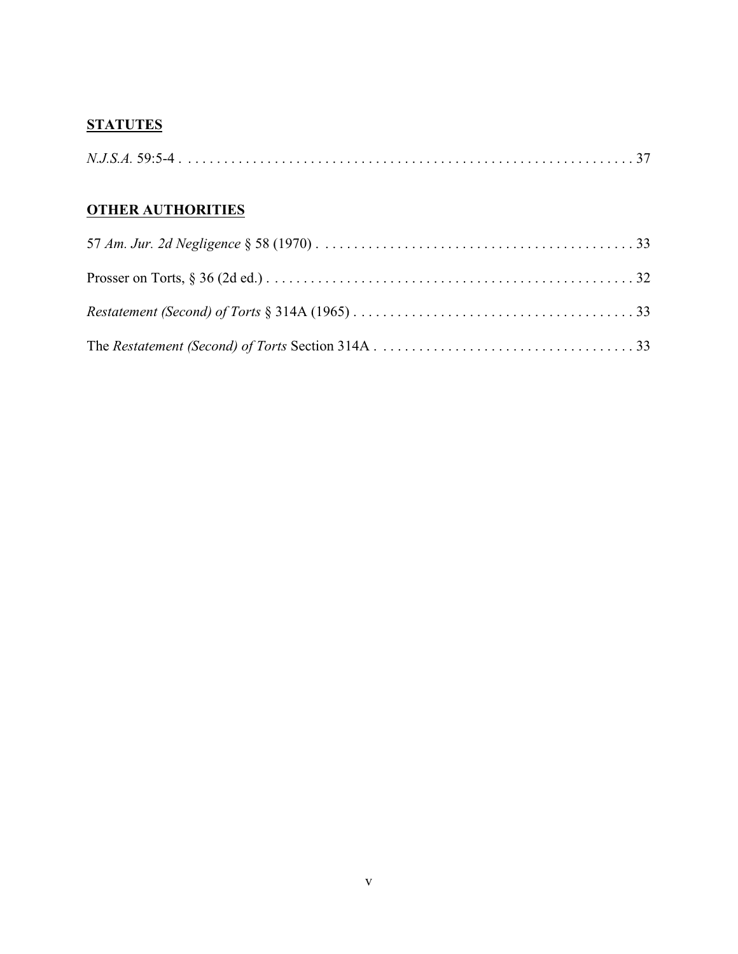# **STATUTES**

|--|--|--|

# **OTHER AUTHORITIES**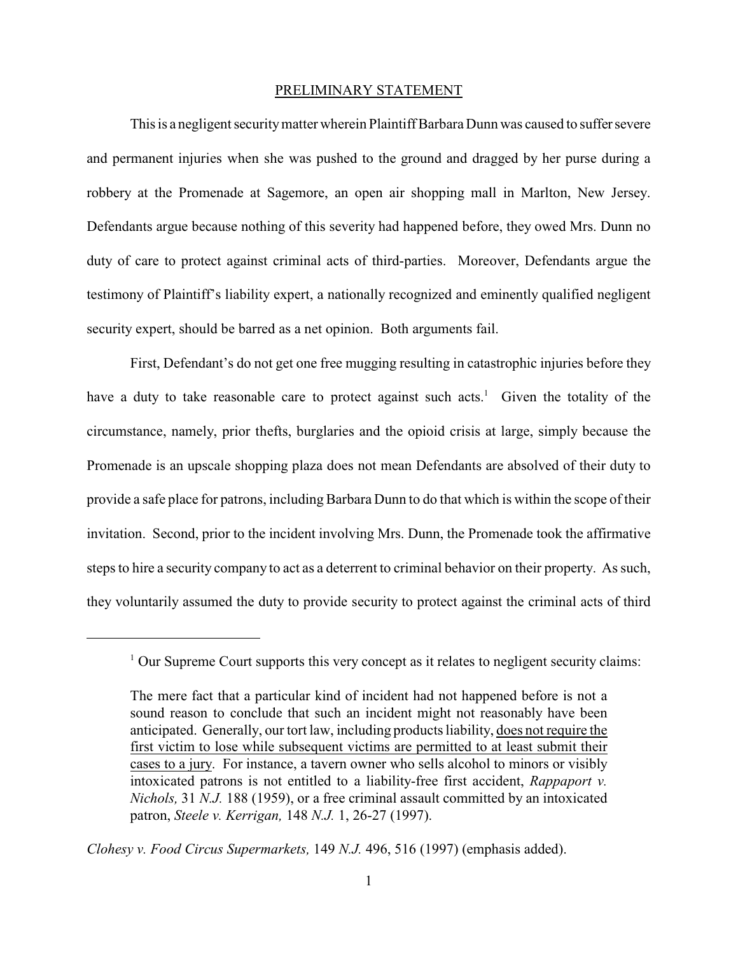#### PRELIMINARY STATEMENT

This is a negligent security matter wherein Plaintiff Barbara Dunn was caused to suffer severe and permanent injuries when she was pushed to the ground and dragged by her purse during a robbery at the Promenade at Sagemore, an open air shopping mall in Marlton, New Jersey. Defendants argue because nothing of this severity had happened before, they owed Mrs. Dunn no duty of care to protect against criminal acts of third-parties. Moreover, Defendants argue the testimony of Plaintiff's liability expert, a nationally recognized and eminently qualified negligent security expert, should be barred as a net opinion. Both arguments fail.

First, Defendant's do not get one free mugging resulting in catastrophic injuries before they have a duty to take reasonable care to protect against such acts.<sup>1</sup> Given the totality of the circumstance, namely, prior thefts, burglaries and the opioid crisis at large, simply because the Promenade is an upscale shopping plaza does not mean Defendants are absolved of their duty to provide a safe place for patrons, including Barbara Dunn to do that which is within the scope of their invitation. Second, prior to the incident involving Mrs. Dunn, the Promenade took the affirmative steps to hire a security company to act as a deterrent to criminal behavior on their property. As such, they voluntarily assumed the duty to provide security to protect against the criminal acts of third

*Clohesy v. Food Circus Supermarkets,* 149 *N.J.* 496, 516 (1997) (emphasis added).

 $1$  Our Supreme Court supports this very concept as it relates to negligent security claims:

The mere fact that a particular kind of incident had not happened before is not a sound reason to conclude that such an incident might not reasonably have been anticipated. Generally, our tort law, including products liability, does not require the first victim to lose while subsequent victims are permitted to at least submit their cases to a jury. For instance, a tavern owner who sells alcohol to minors or visibly intoxicated patrons is not entitled to a liability-free first accident, *Rappaport v. Nichols,* 31 *N.J.* 188 (1959), or a free criminal assault committed by an intoxicated patron, *Steele v. Kerrigan,* 148 *N.J.* 1, 26-27 (1997).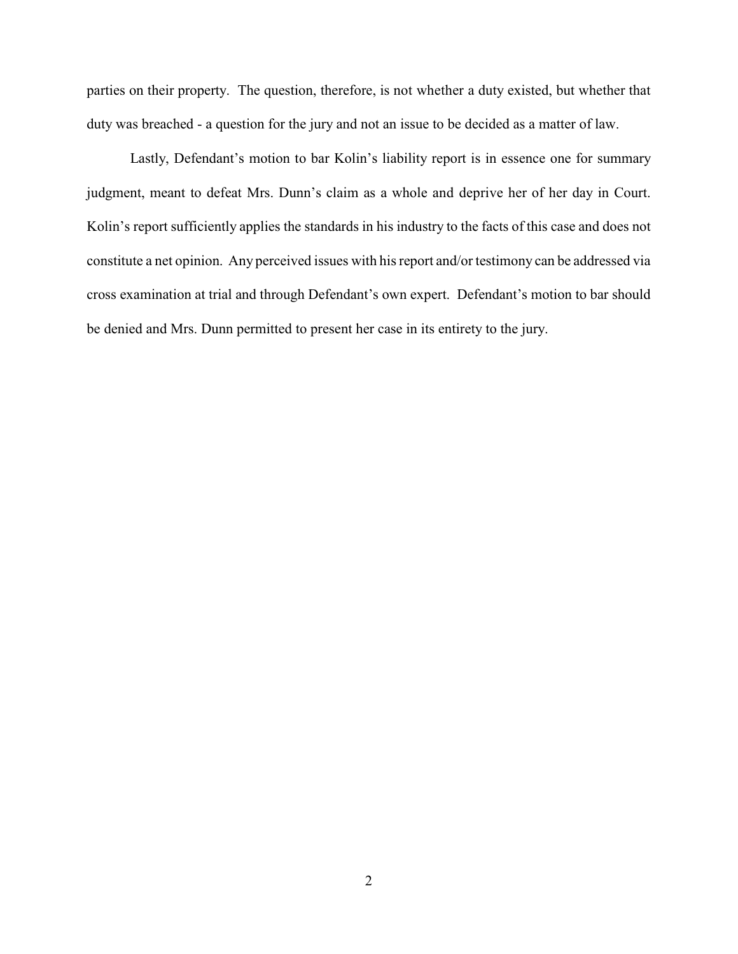parties on their property. The question, therefore, is not whether a duty existed, but whether that duty was breached - a question for the jury and not an issue to be decided as a matter of law.

Lastly, Defendant's motion to bar Kolin's liability report is in essence one for summary judgment, meant to defeat Mrs. Dunn's claim as a whole and deprive her of her day in Court. Kolin's report sufficiently applies the standards in his industry to the facts of this case and does not constitute a net opinion. Any perceived issues with his report and/or testimony can be addressed via cross examination at trial and through Defendant's own expert. Defendant's motion to bar should be denied and Mrs. Dunn permitted to present her case in its entirety to the jury.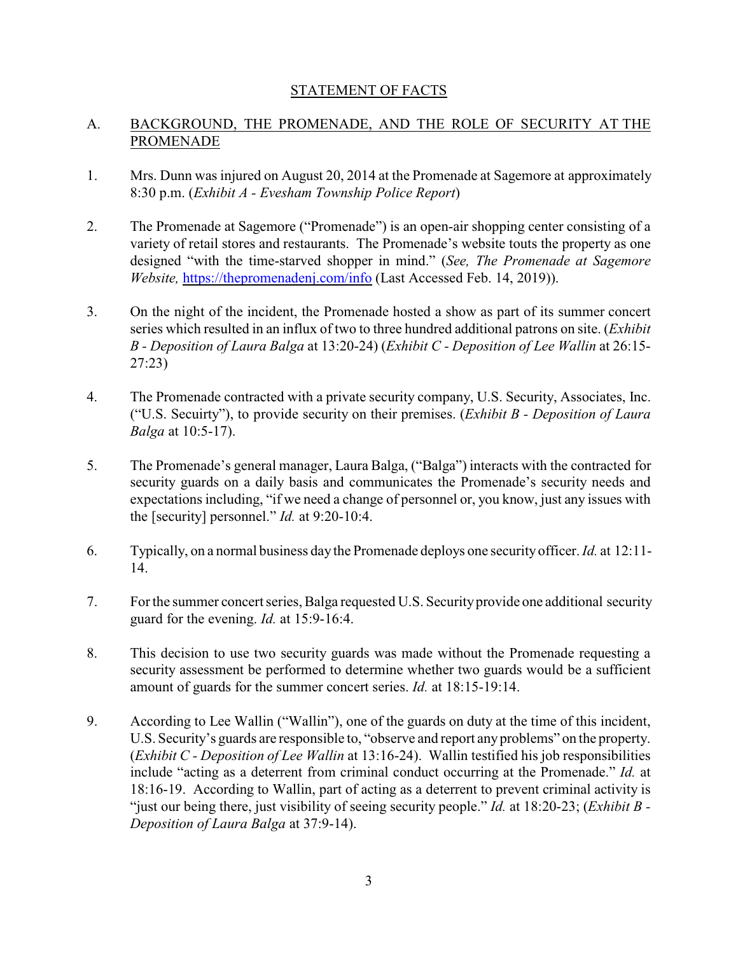# STATEMENT OF FACTS

## A. BACKGROUND, THE PROMENADE, AND THE ROLE OF SECURITY AT THE PROMENADE

- 1. Mrs. Dunn was injured on August 20, 2014 at the Promenade at Sagemore at approximately 8:30 p.m. (*Exhibit A - Evesham Township Police Report*)
- 2. The Promenade at Sagemore ("Promenade") is an open-air shopping center consisting of a variety of retail stores and restaurants. The Promenade's website touts the property as one designed "with the time-starved shopper in mind." (*See, The Promenade at Sagemore Website,* <https://thepromenadenj.com/info> (Last Accessed Feb. 14, 2019)).
- 3. On the night of the incident, the Promenade hosted a show as part of its summer concert series which resulted in an influx of two to three hundred additional patrons on site. (*Exhibit B - Deposition of Laura Balga* at 13:20-24) (*Exhibit C - Deposition of Lee Wallin* at 26:15- 27:23)
- 4. The Promenade contracted with a private security company, U.S. Security, Associates, Inc. ("U.S. Secuirty"), to provide security on their premises. (*Exhibit B - Deposition of Laura Balga* at 10:5-17).
- 5. The Promenade's general manager, Laura Balga, ("Balga") interacts with the contracted for security guards on a daily basis and communicates the Promenade's security needs and expectations including, "if we need a change of personnel or, you know, just any issues with the [security] personnel." *Id.* at 9:20-10:4.
- 6. Typically, on a normal business day the Promenade deploys one security officer. *Id.* at 12:11- 14.
- 7. For the summer concert series, Balga requested U.S. Securityprovide one additional security guard for the evening. *Id.* at 15:9-16:4.
- 8. This decision to use two security guards was made without the Promenade requesting a security assessment be performed to determine whether two guards would be a sufficient amount of guards for the summer concert series. *Id.* at 18:15-19:14.
- 9. According to Lee Wallin ("Wallin"), one of the guards on duty at the time of this incident, U.S. Security's guards are responsible to, "observe and report any problems" on the property. (*Exhibit C - Deposition of Lee Wallin* at 13:16-24). Wallin testified his job responsibilities include "acting as a deterrent from criminal conduct occurring at the Promenade." *Id.* at 18:16-19. According to Wallin, part of acting as a deterrent to prevent criminal activity is "just our being there, just visibility of seeing security people." *Id.* at 18:20-23; (*Exhibit B - Deposition of Laura Balga* at 37:9-14).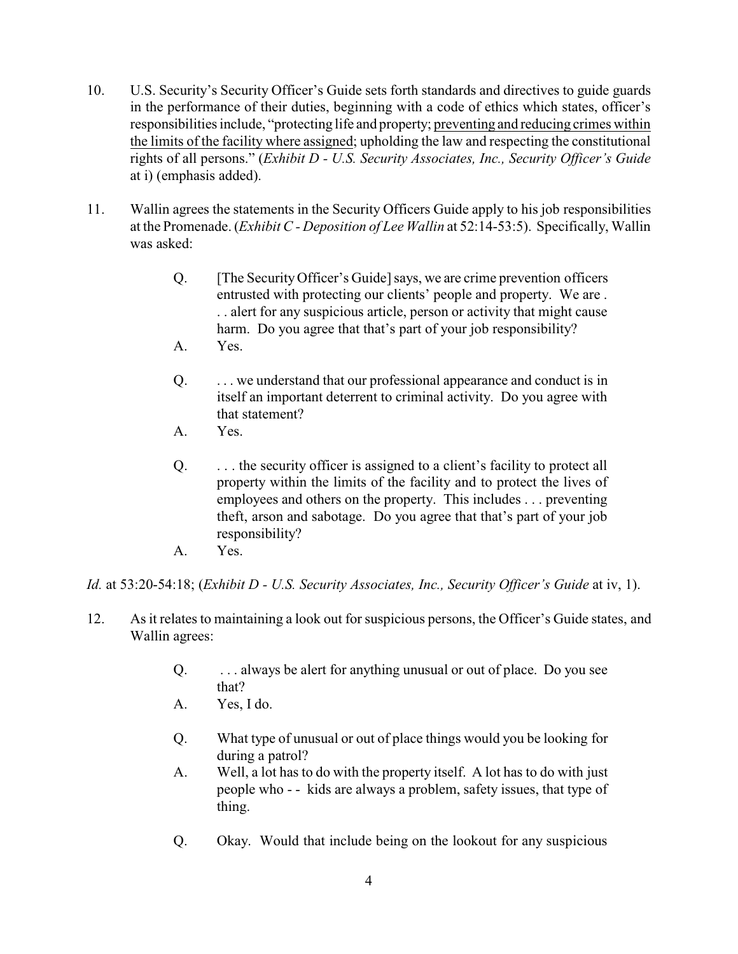- 10. U.S. Security's Security Officer's Guide sets forth standards and directives to guide guards in the performance of their duties, beginning with a code of ethics which states, officer's responsibilities include, "protecting life and property; preventing and reducing crimes within the limits of the facility where assigned; upholding the law and respecting the constitutional rights of all persons." (*Exhibit D - U.S. Security Associates, Inc., Security Officer's Guide* at i) (emphasis added).
- 11. Wallin agrees the statements in the Security Officers Guide apply to his job responsibilities at the Promenade. (*Exhibit C - Deposition of Lee Wallin* at 52:14-53:5). Specifically, Wallin was asked:
	- Q. [The Security Officer's Guide] says, we are crime prevention officers entrusted with protecting our clients' people and property. We are . . . alert for any suspicious article, person or activity that might cause harm. Do you agree that that's part of your job responsibility?
	- A. Yes.
	- Q. . . . we understand that our professional appearance and conduct is in itself an important deterrent to criminal activity. Do you agree with that statement?
	- A. Yes.
	- Q. . . . the security officer is assigned to a client's facility to protect all property within the limits of the facility and to protect the lives of employees and others on the property. This includes . . . preventing theft, arson and sabotage. Do you agree that that's part of your job responsibility?
	- A. Yes.

*Id.* at 53:20-54:18; (*Exhibit D - U.S. Security Associates, Inc., Security Officer's Guide* at iv, 1).

- 12. As it relates to maintaining a look out for suspicious persons, the Officer's Guide states, and Wallin agrees:
	- Q. . . . always be alert for anything unusual or out of place. Do you see that?
	- A. Yes, I do.
	- Q. What type of unusual or out of place things would you be looking for during a patrol?
	- A. Well, a lot has to do with the property itself. A lot has to do with just people who - - kids are always a problem, safety issues, that type of thing.
	- Q. Okay. Would that include being on the lookout for any suspicious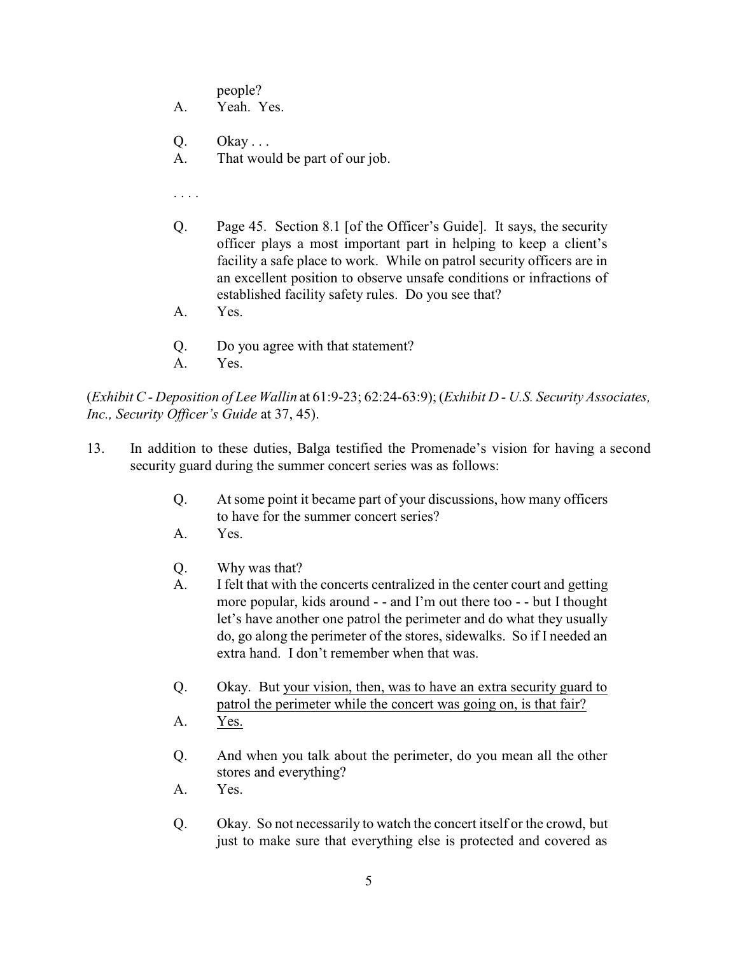people?

- A. Yeah. Yes.
- $Q.$  Okay ...
- A. That would be part of our job.
- . . . .
- Q. Page 45. Section 8.1 [of the Officer's Guide]. It says, the security officer plays a most important part in helping to keep a client's facility a safe place to work. While on patrol security officers are in an excellent position to observe unsafe conditions or infractions of established facility safety rules. Do you see that?
- A. Yes.
- Q. Do you agree with that statement?
- A. Yes.

(*Exhibit C - Deposition of Lee Wallin* at 61:9-23; 62:24-63:9); (*Exhibit D - U.S. Security Associates, Inc., Security Officer's Guide* at 37, 45).

- 13. In addition to these duties, Balga testified the Promenade's vision for having a second security guard during the summer concert series was as follows:
	- Q. At some point it became part of your discussions, how many officers to have for the summer concert series?
	- A. Yes.
	- Q. Why was that?
	- A. I felt that with the concerts centralized in the center court and getting more popular, kids around - - and I'm out there too - - but I thought let's have another one patrol the perimeter and do what they usually do, go along the perimeter of the stores, sidewalks. So if I needed an extra hand. I don't remember when that was.
	- Q. Okay. But your vision, then, was to have an extra security guard to patrol the perimeter while the concert was going on, is that fair?
	- A. Yes.
	- Q. And when you talk about the perimeter, do you mean all the other stores and everything?
	- A. Yes.
	- Q. Okay. So not necessarily to watch the concert itself or the crowd, but just to make sure that everything else is protected and covered as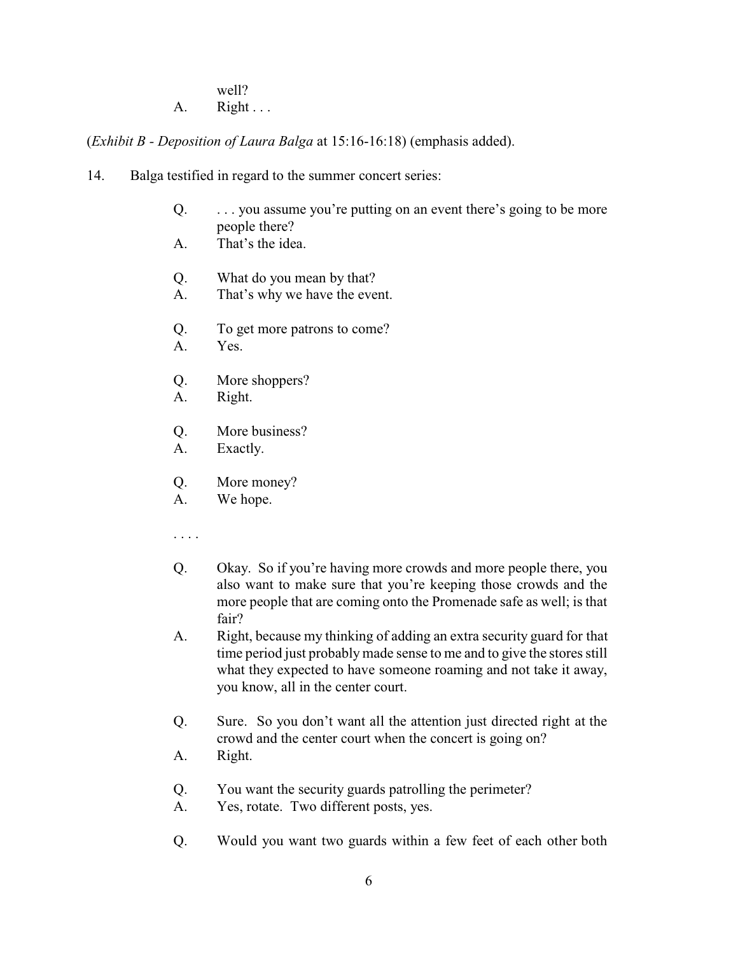well?

A.  $Right \ldots$ 

(*Exhibit B - Deposition of Laura Balga* at 15:16-16:18) (emphasis added).

- 14. Balga testified in regard to the summer concert series:
	- Q. . . . you assume you're putting on an event there's going to be more people there?
	- A. That's the idea.
	- Q. What do you mean by that?
	- A. That's why we have the event.
	- Q. To get more patrons to come?
	- A. Yes.
	- Q. More shoppers?
	- A. Right.
	- Q. More business?
	- A. Exactly.
	- Q. More money?
	- A. We hope.

. . . .

- Q. Okay. So if you're having more crowds and more people there, you also want to make sure that you're keeping those crowds and the more people that are coming onto the Promenade safe as well; is that fair?
- A. Right, because my thinking of adding an extra security guard for that time period just probablymade sense to me and to give the stores still what they expected to have someone roaming and not take it away, you know, all in the center court.
- Q. Sure. So you don't want all the attention just directed right at the crowd and the center court when the concert is going on?
- A. Right.
- Q. You want the security guards patrolling the perimeter?
- A. Yes, rotate. Two different posts, yes.
- Q. Would you want two guards within a few feet of each other both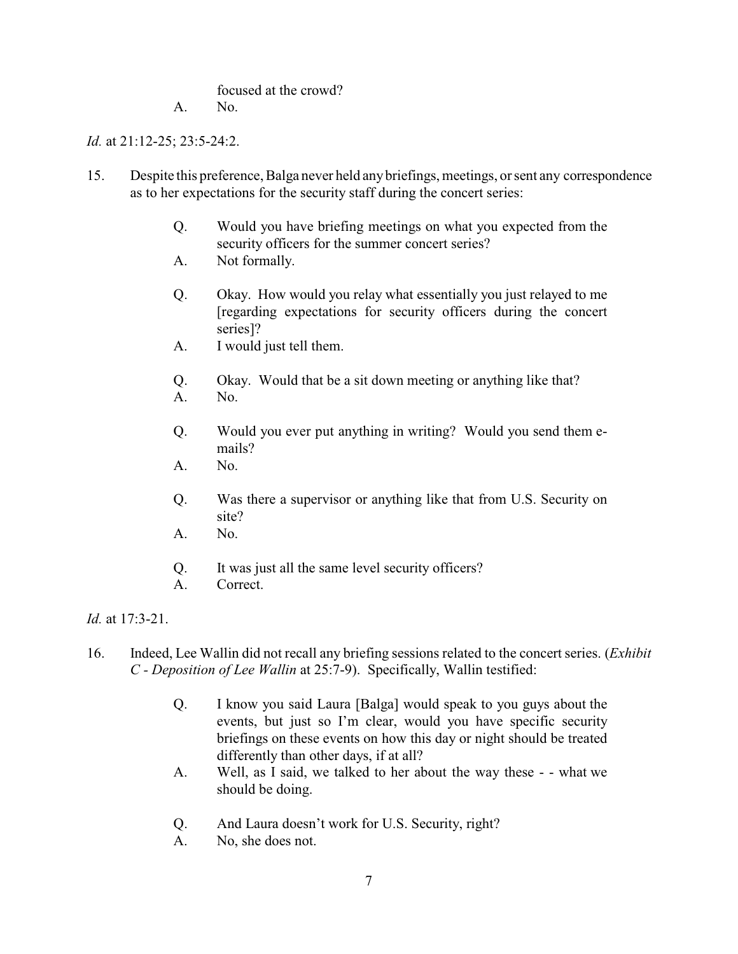#### focused at the crowd?

A. No.

### *Id.* at 21:12-25; 23:5-24:2.

- 15. Despite this preference, Balga never held any briefings, meetings, or sent any correspondence as to her expectations for the security staff during the concert series:
	- Q. Would you have briefing meetings on what you expected from the security officers for the summer concert series?
	- A. Not formally.
	- Q. Okay. How would you relay what essentially you just relayed to me [regarding expectations for security officers during the concert series]?
	- A. I would just tell them.
	- Q. Okay. Would that be a sit down meeting or anything like that?
	- A. No.
	- Q. Would you ever put anything in writing? Would you send them emails?
	- A. No.
	- Q. Was there a supervisor or anything like that from U.S. Security on site?
	- A. No.
	- Q. It was just all the same level security officers?
	- A. Correct.

*Id.* at 17:3-21.

- 16. Indeed, Lee Wallin did not recall any briefing sessions related to the concert series. (*Exhibit C - Deposition of Lee Wallin* at 25:7-9). Specifically, Wallin testified:
	- Q. I know you said Laura [Balga] would speak to you guys about the events, but just so I'm clear, would you have specific security briefings on these events on how this day or night should be treated differently than other days, if at all?
	- A. Well, as I said, we talked to her about the way these - what we should be doing.
	- Q. And Laura doesn't work for U.S. Security, right?
	- A. No, she does not.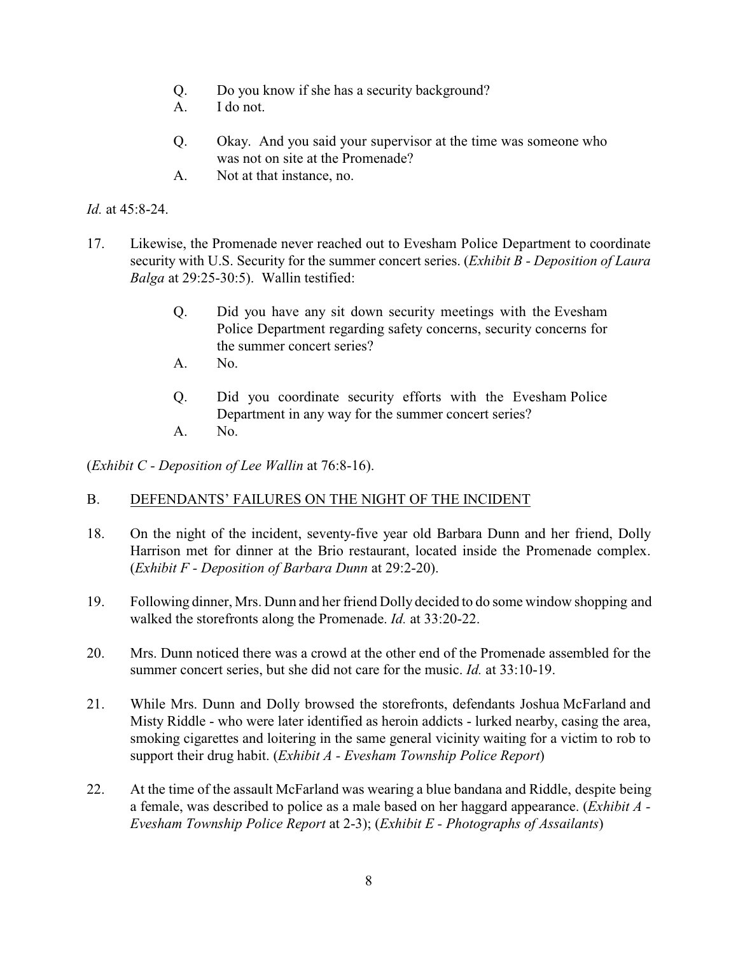- Q. Do you know if she has a security background?
- A. I do not.
- Q. Okay. And you said your supervisor at the time was someone who was not on site at the Promenade?
- A. Not at that instance, no.

*Id.* at 45:8-24.

- 17. Likewise, the Promenade never reached out to Evesham Police Department to coordinate security with U.S. Security for the summer concert series. (*Exhibit B - Deposition of Laura Balga* at 29:25-30:5). Wallin testified:
	- Q. Did you have any sit down security meetings with the Evesham Police Department regarding safety concerns, security concerns for the summer concert series?
	- A. No.
	- Q. Did you coordinate security efforts with the Evesham Police Department in any way for the summer concert series?
	- A. No.

(*Exhibit C - Deposition of Lee Wallin* at 76:8-16).

## B. DEFENDANTS' FAILURES ON THE NIGHT OF THE INCIDENT

- 18. On the night of the incident, seventy-five year old Barbara Dunn and her friend, Dolly Harrison met for dinner at the Brio restaurant, located inside the Promenade complex. (*Exhibit F - Deposition of Barbara Dunn* at 29:2-20).
- 19. Following dinner, Mrs. Dunn and her friend Dolly decided to do some window shopping and walked the storefronts along the Promenade. *Id.* at 33:20-22.
- 20. Mrs. Dunn noticed there was a crowd at the other end of the Promenade assembled for the summer concert series, but she did not care for the music. *Id.* at 33:10-19.
- 21. While Mrs. Dunn and Dolly browsed the storefronts, defendants Joshua McFarland and Misty Riddle - who were later identified as heroin addicts - lurked nearby, casing the area, smoking cigarettes and loitering in the same general vicinity waiting for a victim to rob to support their drug habit. (*Exhibit A - Evesham Township Police Report*)
- 22. At the time of the assault McFarland was wearing a blue bandana and Riddle, despite being a female, was described to police as a male based on her haggard appearance. (*Exhibit A - Evesham Township Police Report* at 2-3); (*Exhibit E - Photographs of Assailants*)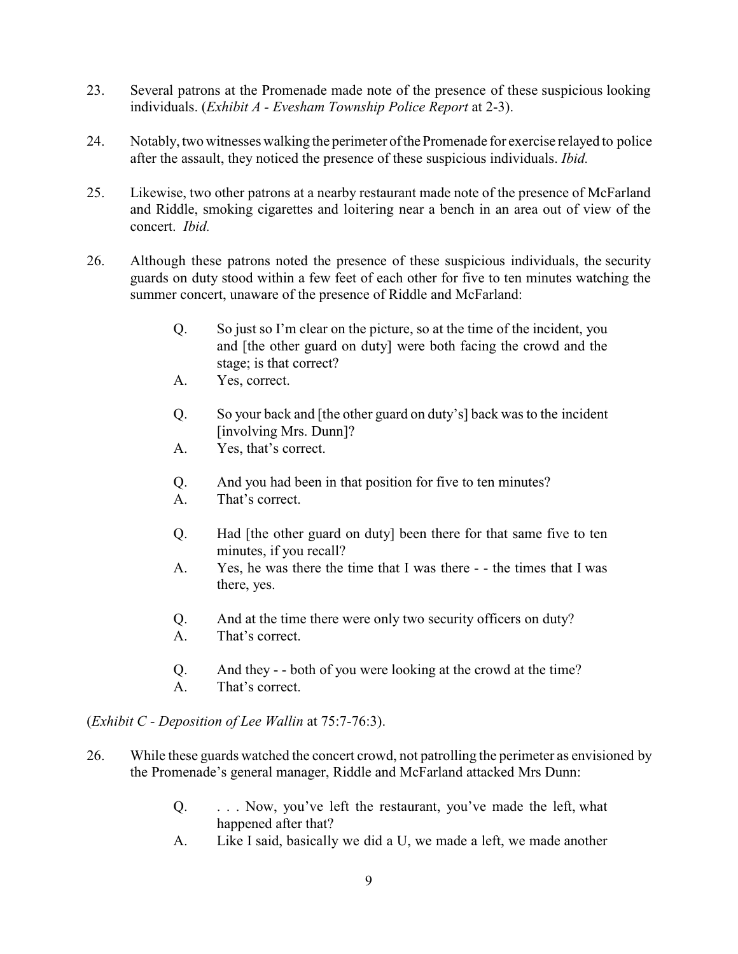- 23. Several patrons at the Promenade made note of the presence of these suspicious looking individuals. (*Exhibit A - Evesham Township Police Report* at 2-3).
- 24. Notably, two witnesses walking the perimeter of the Promenade for exercise relayed to police after the assault, they noticed the presence of these suspicious individuals. *Ibid.*
- 25. Likewise, two other patrons at a nearby restaurant made note of the presence of McFarland and Riddle, smoking cigarettes and loitering near a bench in an area out of view of the concert. *Ibid.*
- 26. Although these patrons noted the presence of these suspicious individuals, the security guards on duty stood within a few feet of each other for five to ten minutes watching the summer concert, unaware of the presence of Riddle and McFarland:
	- Q. So just so I'm clear on the picture, so at the time of the incident, you and [the other guard on duty] were both facing the crowd and the stage; is that correct?
	- A. Yes, correct.
	- Q. So your back and [the other guard on duty's] back was to the incident [involving Mrs. Dunn]?
	- A. Yes, that's correct.
	- Q. And you had been in that position for five to ten minutes?
	- A. That's correct.
	- Q. Had [the other guard on duty] been there for that same five to ten minutes, if you recall?
	- A. Yes, he was there the time that I was there - the times that I was there, yes.
	- Q. And at the time there were only two security officers on duty?
	- A. That's correct.
	- Q. And they - both of you were looking at the crowd at the time?
	- A. That's correct.

#### (*Exhibit C - Deposition of Lee Wallin* at 75:7-76:3).

- 26. While these guards watched the concert crowd, not patrolling the perimeter as envisioned by the Promenade's general manager, Riddle and McFarland attacked Mrs Dunn:
	- Q. . . . Now, you've left the restaurant, you've made the left, what happened after that?
	- A. Like I said, basically we did a U, we made a left, we made another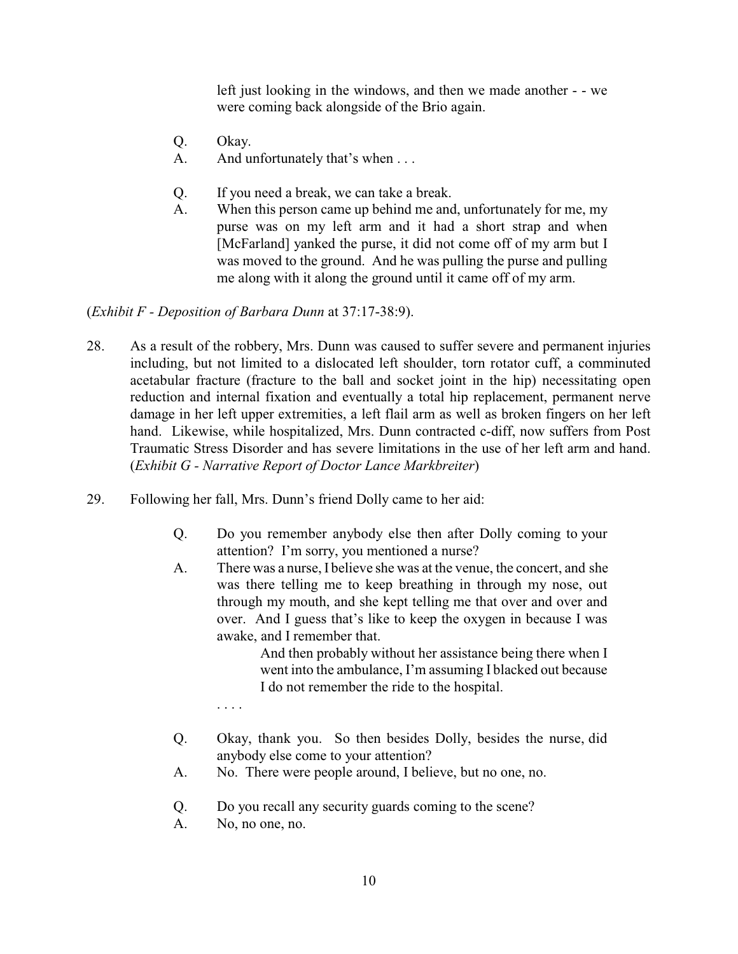left just looking in the windows, and then we made another - - we were coming back alongside of the Brio again.

- Q. Okay.
- A. And unfortunately that's when ...
- Q. If you need a break, we can take a break.
- A. When this person came up behind me and, unfortunately for me, my purse was on my left arm and it had a short strap and when [McFarland] yanked the purse, it did not come off of my arm but I was moved to the ground. And he was pulling the purse and pulling me along with it along the ground until it came off of my arm.

(*Exhibit F - Deposition of Barbara Dunn* at 37:17-38:9).

- 28. As a result of the robbery, Mrs. Dunn was caused to suffer severe and permanent injuries including, but not limited to a dislocated left shoulder, torn rotator cuff, a comminuted acetabular fracture (fracture to the ball and socket joint in the hip) necessitating open reduction and internal fixation and eventually a total hip replacement, permanent nerve damage in her left upper extremities, a left flail arm as well as broken fingers on her left hand. Likewise, while hospitalized, Mrs. Dunn contracted c-diff, now suffers from Post Traumatic Stress Disorder and has severe limitations in the use of her left arm and hand. (*Exhibit G - Narrative Report of Doctor Lance Markbreiter*)
- 29. Following her fall, Mrs. Dunn's friend Dolly came to her aid:
	- Q. Do you remember anybody else then after Dolly coming to your attention? I'm sorry, you mentioned a nurse?
	- A. There was a nurse, I believe she was at the venue, the concert, and she was there telling me to keep breathing in through my nose, out through my mouth, and she kept telling me that over and over and over. And I guess that's like to keep the oxygen in because I was awake, and I remember that.

And then probably without her assistance being there when I went into the ambulance, I'm assuming I blacked out because I do not remember the ride to the hospital.

- . . . .
- Q. Okay, thank you. So then besides Dolly, besides the nurse, did anybody else come to your attention?
- A. No. There were people around, I believe, but no one, no.
- Q. Do you recall any security guards coming to the scene?
- A. No, no one, no.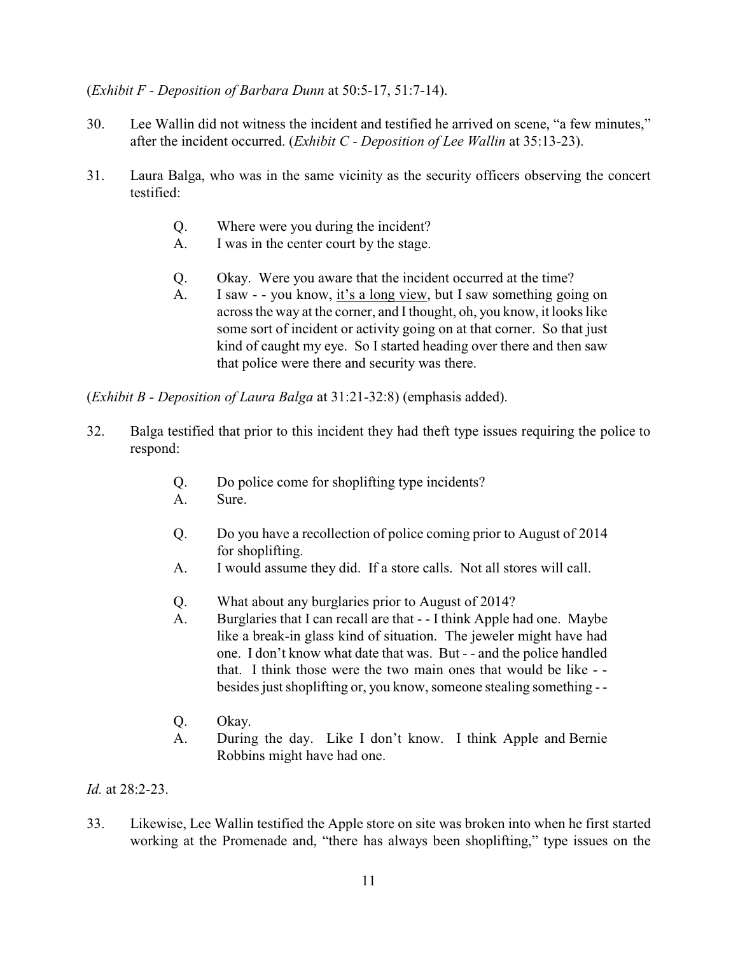(*Exhibit F - Deposition of Barbara Dunn* at 50:5-17, 51:7-14).

- 30. Lee Wallin did not witness the incident and testified he arrived on scene, "a few minutes," after the incident occurred. (*Exhibit C - Deposition of Lee Wallin* at 35:13-23).
- 31. Laura Balga, who was in the same vicinity as the security officers observing the concert testified:
	- Q. Where were you during the incident?
	- A. I was in the center court by the stage.
	- Q. Okay. Were you aware that the incident occurred at the time?
	- A. I saw - you know, it's a long view, but I saw something going on across the way at the corner, and Ithought, oh, you know, it looks like some sort of incident or activity going on at that corner. So that just kind of caught my eye. So I started heading over there and then saw that police were there and security was there.

(*Exhibit B - Deposition of Laura Balga* at 31:21-32:8) (emphasis added).

- 32. Balga testified that prior to this incident they had theft type issues requiring the police to respond:
	- Q. Do police come for shoplifting type incidents?
	- A. Sure.
	- Q. Do you have a recollection of police coming prior to August of 2014 for shoplifting.
	- A. I would assume they did. If a store calls. Not all stores will call.
	- Q. What about any burglaries prior to August of 2014?
	- A. Burglaries that I can recall are that - I think Apple had one. Maybe like a break-in glass kind of situation. The jeweler might have had one. I don't know what date that was. But - - and the police handled that. I think those were the two main ones that would be like - besides just shoplifting or, you know, someone stealing something - -
	- Q. Okay.
	- A. During the day. Like I don't know. I think Apple and Bernie Robbins might have had one.

#### *Id.* at 28:2-23.

33. Likewise, Lee Wallin testified the Apple store on site was broken into when he first started working at the Promenade and, "there has always been shoplifting," type issues on the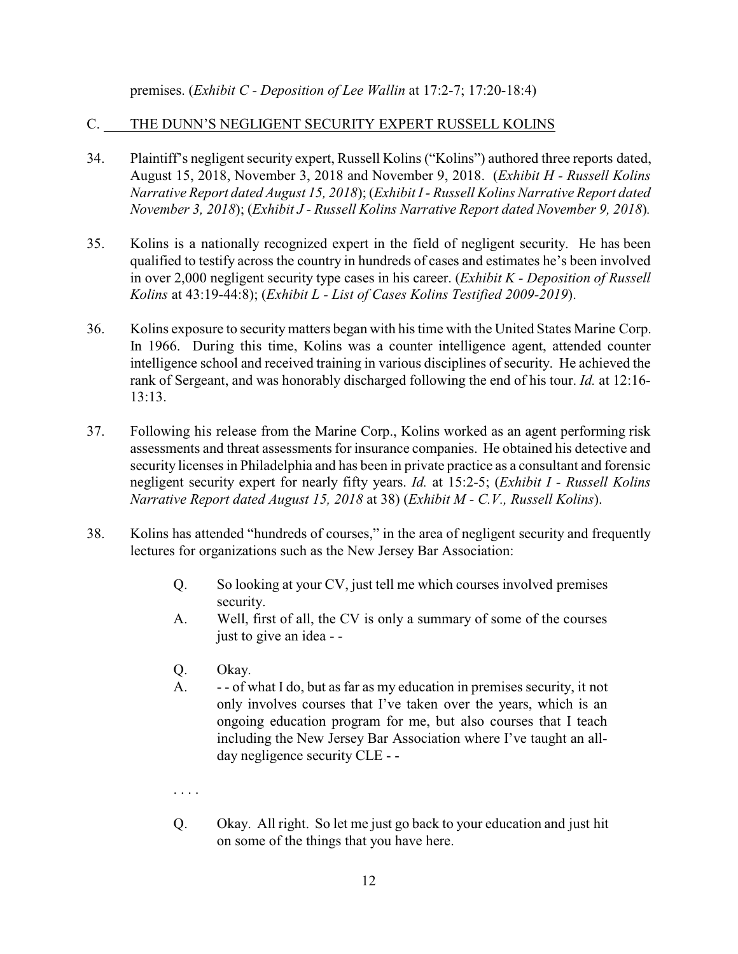premises. (*Exhibit C - Deposition of Lee Wallin* at 17:2-7; 17:20-18:4)

#### C. THE DUNN'S NEGLIGENT SECURITY EXPERT RUSSELL KOLINS

- 34. Plaintiff's negligent security expert, Russell Kolins ("Kolins") authored three reports dated, August 15, 2018, November 3, 2018 and November 9, 2018. (*Exhibit H - Russell Kolins Narrative Report dated August 15, 2018*); (*Exhibit I - Russell Kolins Narrative Report dated November 3, 2018*); (*Exhibit J - Russell Kolins Narrative Report dated November 9, 2018*)*.*
- 35. Kolins is a nationally recognized expert in the field of negligent security. He has been qualified to testify across the country in hundreds of cases and estimates he's been involved in over 2,000 negligent security type cases in his career. (*Exhibit K - Deposition of Russell Kolins* at 43:19-44:8); (*Exhibit L - List of Cases Kolins Testified 2009-2019*).
- 36. Kolins exposure to security matters began with his time with the United States Marine Corp. In 1966. During this time, Kolins was a counter intelligence agent, attended counter intelligence school and received training in various disciplines of security. He achieved the rank of Sergeant, and was honorably discharged following the end of his tour. *Id.* at 12:16- 13:13.
- 37. Following his release from the Marine Corp., Kolins worked as an agent performing risk assessments and threat assessments for insurance companies. He obtained his detective and security licenses in Philadelphia and has been in private practice as a consultant and forensic negligent security expert for nearly fifty years. *Id.* at 15:2-5; (*Exhibit I - Russell Kolins Narrative Report dated August 15, 2018* at 38) (*Exhibit M - C.V., Russell Kolins*).
- 38. Kolins has attended "hundreds of courses," in the area of negligent security and frequently lectures for organizations such as the New Jersey Bar Association:
	- Q. So looking at your CV, just tell me which courses involved premises security.
	- A. Well, first of all, the CV is only a summary of some of the courses just to give an idea - -
	- Q. Okay.
	- A. - of what I do, but as far as my education in premises security, it not only involves courses that I've taken over the years, which is an ongoing education program for me, but also courses that I teach including the New Jersey Bar Association where I've taught an allday negligence security CLE - -
	- . . . .
	- Q. Okay. All right. So let me just go back to your education and just hit on some of the things that you have here.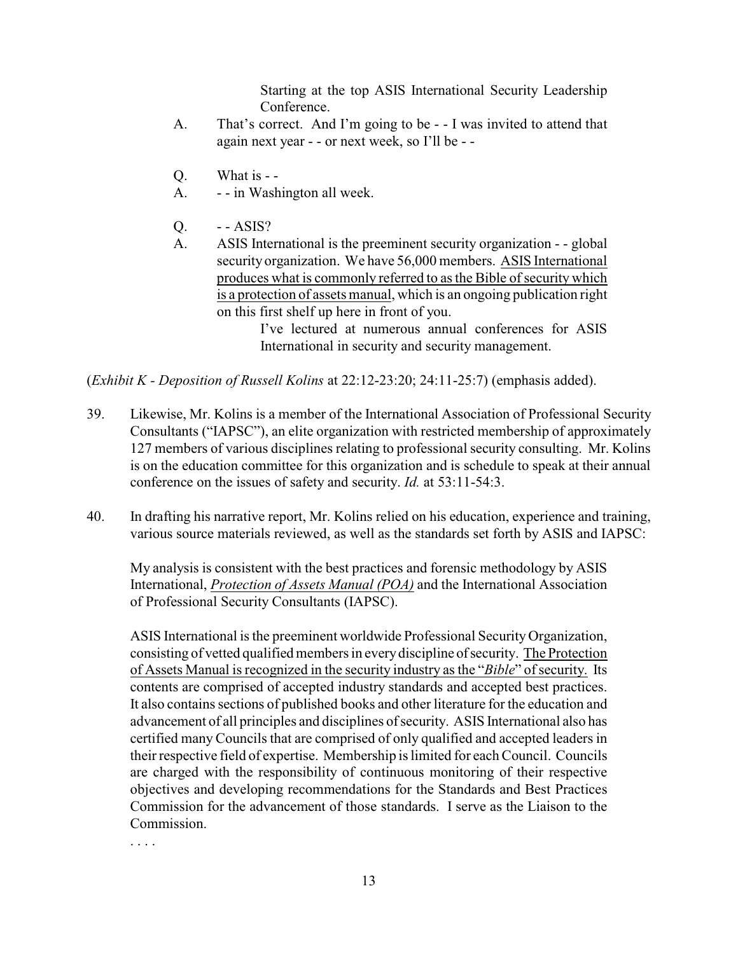Starting at the top ASIS International Security Leadership Conference.

- A. That's correct. And I'm going to be - I was invited to attend that again next year - - or next week, so I'll be - -
- $Q.$  What is  $-$
- A. - in Washington all week.
- Q. - ASIS?
- A. ASIS International is the preeminent security organization - global security organization. We have 56,000 members. ASIS International produces what is commonly referred to as the Bible of security which is a protection of assets manual, which is an ongoing publication right on this first shelf up here in front of you.

I've lectured at numerous annual conferences for ASIS International in security and security management.

(*Exhibit K - Deposition of Russell Kolins* at 22:12-23:20; 24:11-25:7) (emphasis added).

- 39. Likewise, Mr. Kolins is a member of the International Association of Professional Security Consultants ("IAPSC"), an elite organization with restricted membership of approximately 127 members of various disciplines relating to professional security consulting. Mr. Kolins is on the education committee for this organization and is schedule to speak at their annual conference on the issues of safety and security. *Id.* at 53:11-54:3.
- 40. In drafting his narrative report, Mr. Kolins relied on his education, experience and training, various source materials reviewed, as well as the standards set forth by ASIS and IAPSC:

My analysis is consistent with the best practices and forensic methodology by ASIS International, *Protection of Assets Manual (POA)* and the International Association of Professional Security Consultants (IAPSC).

ASIS International is the preeminent worldwide Professional Security Organization, consisting of vetted qualified members in every discipline of security. The Protection of Assets Manual is recognized in the security industry as the "*Bible*" of security. Its contents are comprised of accepted industry standards and accepted best practices. It also contains sections of published books and other literature for the education and advancement of all principles and disciplines of security. ASIS International also has certified many Councils that are comprised of only qualified and accepted leaders in their respective field of expertise. Membership is limited for each Council. Councils are charged with the responsibility of continuous monitoring of their respective objectives and developing recommendations for the Standards and Best Practices Commission for the advancement of those standards. I serve as the Liaison to the Commission.

. . . .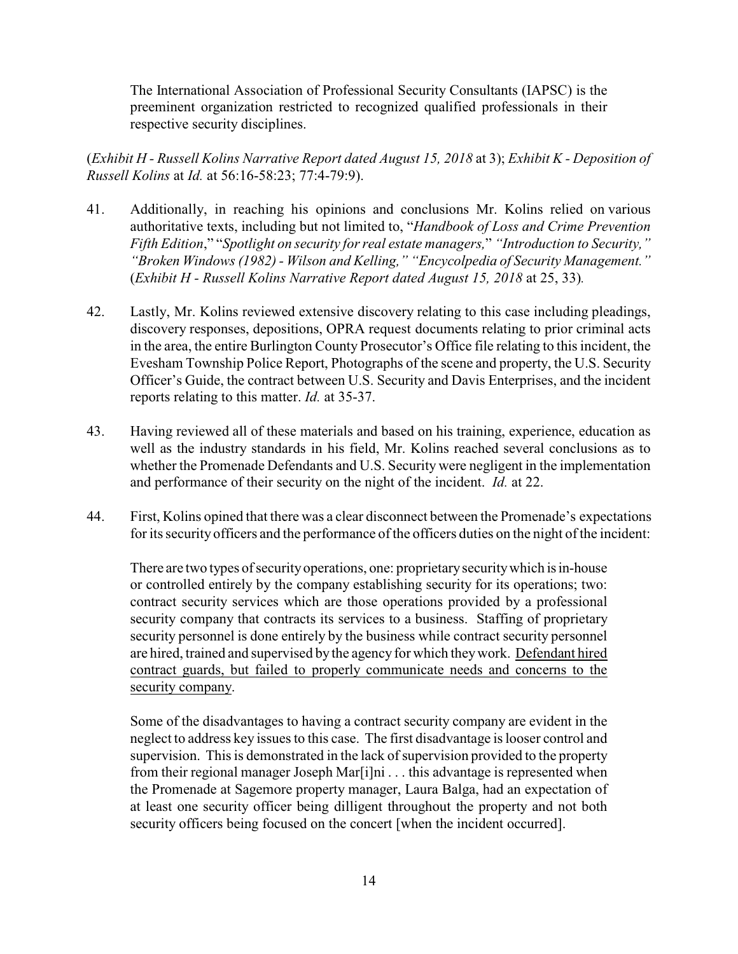The International Association of Professional Security Consultants (IAPSC) is the preeminent organization restricted to recognized qualified professionals in their respective security disciplines.

(*Exhibit H - Russell Kolins Narrative Report dated August 15, 2018* at 3); *Exhibit K - Deposition of Russell Kolins* at *Id.* at 56:16-58:23; 77:4-79:9).

- 41. Additionally, in reaching his opinions and conclusions Mr. Kolins relied on various authoritative texts, including but not limited to, "*Handbook of Loss and Crime Prevention Fifth Edition*," "*Spotlight on security forreal estate managers,*" *"Introduction to Security," "Broken Windows (1982) - Wilson and Kelling," "Encycolpedia of Security Management."* (*Exhibit H - Russell Kolins Narrative Report dated August 15, 2018* at 25, 33)*.*
- 42. Lastly, Mr. Kolins reviewed extensive discovery relating to this case including pleadings, discovery responses, depositions, OPRA request documents relating to prior criminal acts in the area, the entire Burlington County Prosecutor's Office file relating to this incident, the Evesham Township Police Report, Photographs of the scene and property, the U.S. Security Officer's Guide, the contract between U.S. Security and Davis Enterprises, and the incident reports relating to this matter. *Id.* at 35-37.
- 43. Having reviewed all of these materials and based on his training, experience, education as well as the industry standards in his field, Mr. Kolins reached several conclusions as to whether the Promenade Defendants and U.S. Security were negligent in the implementation and performance of their security on the night of the incident. *Id.* at 22.
- 44. First, Kolins opined that there was a clear disconnect between the Promenade's expectations for its security officers and the performance of the officers duties on the night of the incident:

There are two types of security operations, one: proprietary security which is in-house or controlled entirely by the company establishing security for its operations; two: contract security services which are those operations provided by a professional security company that contracts its services to a business. Staffing of proprietary security personnel is done entirely by the business while contract security personnel are hired, trained and supervised by the agency for which they work. Defendant hired contract guards, but failed to properly communicate needs and concerns to the security company.

Some of the disadvantages to having a contract security company are evident in the neglect to address key issues to this case. The first disadvantage is looser control and supervision. This is demonstrated in the lack of supervision provided to the property from their regional manager Joseph Mar[i]ni . . . this advantage is represented when the Promenade at Sagemore property manager, Laura Balga, had an expectation of at least one security officer being dilligent throughout the property and not both security officers being focused on the concert [when the incident occurred].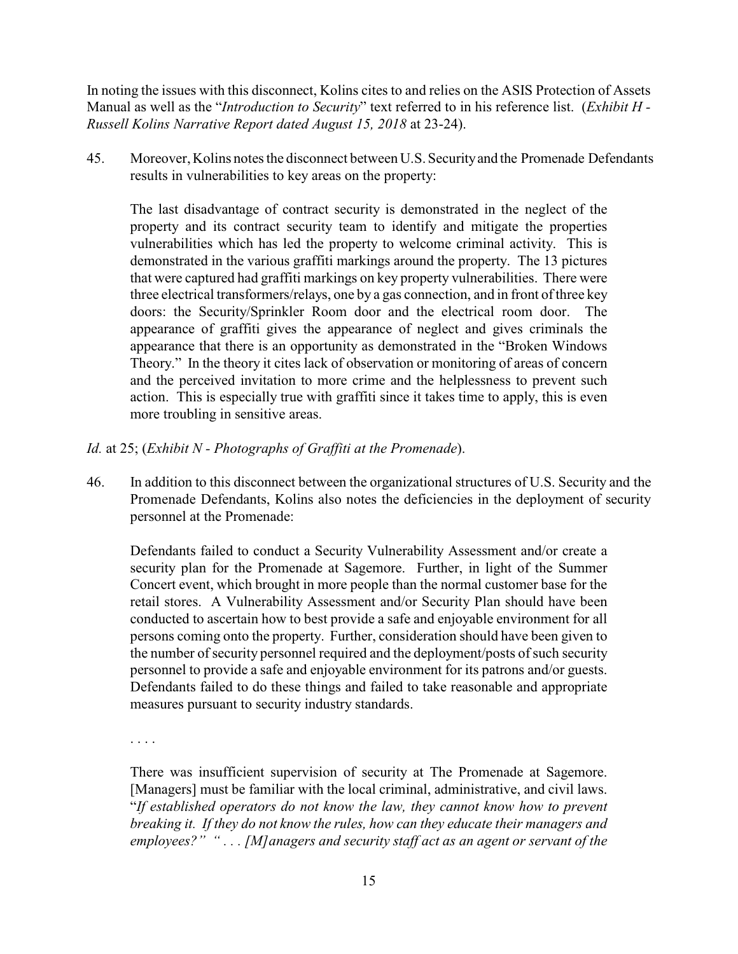In noting the issues with this disconnect, Kolins cites to and relies on the ASIS Protection of Assets Manual as well as the "*Introduction to Security*" text referred to in his reference list. (*Exhibit H - Russell Kolins Narrative Report dated August 15, 2018* at 23-24).

45. Moreover, Kolins notes the disconnect between U.S. Security and the Promenade Defendants results in vulnerabilities to key areas on the property:

The last disadvantage of contract security is demonstrated in the neglect of the property and its contract security team to identify and mitigate the properties vulnerabilities which has led the property to welcome criminal activity. This is demonstrated in the various graffiti markings around the property. The 13 pictures that were captured had graffiti markings on key property vulnerabilities. There were three electrical transformers/relays, one by a gas connection, and in front of three key doors: the Security/Sprinkler Room door and the electrical room door. The appearance of graffiti gives the appearance of neglect and gives criminals the appearance that there is an opportunity as demonstrated in the "Broken Windows Theory." In the theory it cites lack of observation or monitoring of areas of concern and the perceived invitation to more crime and the helplessness to prevent such action. This is especially true with graffiti since it takes time to apply, this is even more troubling in sensitive areas.

- *Id.* at 25; (*Exhibit N Photographs of Graffiti at the Promenade*).
- 46. In addition to this disconnect between the organizational structures of U.S. Security and the Promenade Defendants, Kolins also notes the deficiencies in the deployment of security personnel at the Promenade:

Defendants failed to conduct a Security Vulnerability Assessment and/or create a security plan for the Promenade at Sagemore. Further, in light of the Summer Concert event, which brought in more people than the normal customer base for the retail stores. A Vulnerability Assessment and/or Security Plan should have been conducted to ascertain how to best provide a safe and enjoyable environment for all persons coming onto the property. Further, consideration should have been given to the number of security personnel required and the deployment/posts of such security personnel to provide a safe and enjoyable environment for its patrons and/or guests. Defendants failed to do these things and failed to take reasonable and appropriate measures pursuant to security industry standards.

. . . .

There was insufficient supervision of security at The Promenade at Sagemore. [Managers] must be familiar with the local criminal, administrative, and civil laws. "*If established operators do not know the law, they cannot know how to prevent breaking it. If they do not know the rules, how can they educate their managers and employees?" " . . . [M]anagers and security staff act as an agent or servant of the*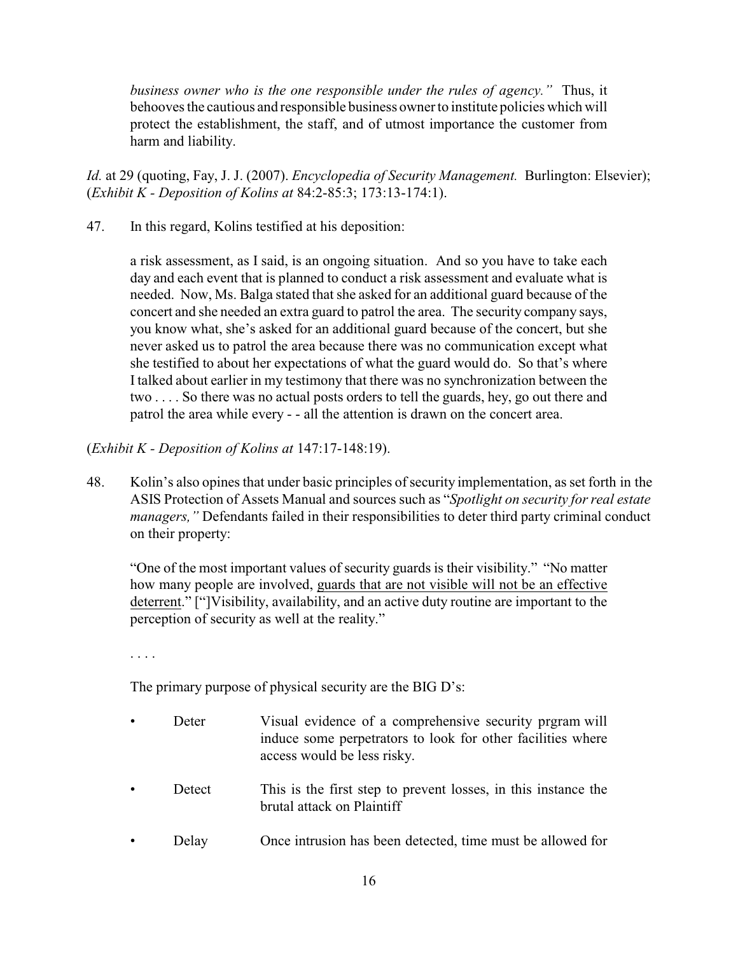*business owner who is the one responsible under the rules of agency."* Thus, it behooves the cautious and responsible business owner to institute policies which will protect the establishment, the staff, and of utmost importance the customer from harm and liability.

*Id.* at 29 (quoting, Fay, J. J. (2007). *Encyclopedia of Security Management.* Burlington: Elsevier); (*Exhibit K - Deposition of Kolins at* 84:2-85:3; 173:13-174:1).

47. In this regard, Kolins testified at his deposition:

a risk assessment, as I said, is an ongoing situation. And so you have to take each day and each event that is planned to conduct a risk assessment and evaluate what is needed. Now, Ms. Balga stated that she asked for an additional guard because of the concert and she needed an extra guard to patrol the area. The security company says, you know what, she's asked for an additional guard because of the concert, but she never asked us to patrol the area because there was no communication except what she testified to about her expectations of what the guard would do. So that's where I talked about earlier in my testimony that there was no synchronization between the two . . . . So there was no actual posts orders to tell the guards, hey, go out there and patrol the area while every - - all the attention is drawn on the concert area.

(*Exhibit K - Deposition of Kolins at* 147:17-148:19).

48. Kolin's also opines that under basic principles of security implementation, as set forth in the ASIS Protection of Assets Manual and sources such as "*Spotlight on security for real estate managers,"* Defendants failed in their responsibilities to deter third party criminal conduct on their property:

"One of the most important values of security guards is their visibility." "No matter how many people are involved, guards that are not visible will not be an effective deterrent." ["]Visibility, availability, and an active duty routine are important to the perception of security as well at the reality."

. . . .

The primary purpose of physical security are the BIG D's:

- Deter Visual evidence of a comprehensive security pregram will induce some perpetrators to look for other facilities where access would be less risky.
- Detect This is the first step to prevent losses, in this instance the brutal attack on Plaintiff
- Delay Once intrusion has been detected, time must be allowed for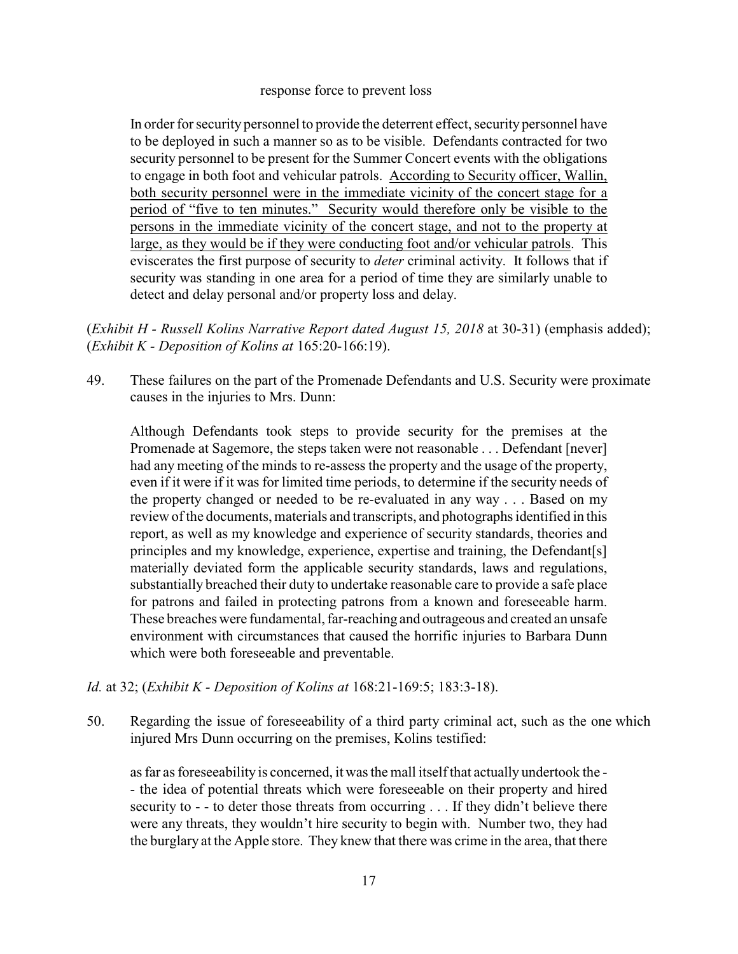#### response force to prevent loss

In order for security personnel to provide the deterrent effect, security personnel have to be deployed in such a manner so as to be visible. Defendants contracted for two security personnel to be present for the Summer Concert events with the obligations to engage in both foot and vehicular patrols. According to Security officer, Wallin, both security personnel were in the immediate vicinity of the concert stage for a period of "five to ten minutes." Security would therefore only be visible to the persons in the immediate vicinity of the concert stage, and not to the property at large, as they would be if they were conducting foot and/or vehicular patrols. This eviscerates the first purpose of security to *deter* criminal activity. It follows that if security was standing in one area for a period of time they are similarly unable to detect and delay personal and/or property loss and delay.

(*Exhibit H - Russell Kolins Narrative Report dated August 15, 2018* at 30-31) (emphasis added); (*Exhibit K - Deposition of Kolins at* 165:20-166:19).

49. These failures on the part of the Promenade Defendants and U.S. Security were proximate causes in the injuries to Mrs. Dunn:

Although Defendants took steps to provide security for the premises at the Promenade at Sagemore, the steps taken were not reasonable . . . Defendant [never] had any meeting of the minds to re-assess the property and the usage of the property, even if it were if it was for limited time periods, to determine if the security needs of the property changed or needed to be re-evaluated in any way . . . Based on my review ofthe documents, materials and transcripts, and photographs identified in this report, as well as my knowledge and experience of security standards, theories and principles and my knowledge, experience, expertise and training, the Defendant[s] materially deviated form the applicable security standards, laws and regulations, substantially breached their duty to undertake reasonable care to provide a safe place for patrons and failed in protecting patrons from a known and foreseeable harm. These breaches were fundamental, far-reaching and outrageous and created an unsafe environment with circumstances that caused the horrific injuries to Barbara Dunn which were both foreseeable and preventable.

- *Id.* at 32; (*Exhibit K Deposition of Kolins at* 168:21-169:5; 183:3-18).
- 50. Regarding the issue of foreseeability of a third party criminal act, such as the one which injured Mrs Dunn occurring on the premises, Kolins testified:

as far as foreseeability is concerned, it was the mall itself that actually undertook the - - the idea of potential threats which were foreseeable on their property and hired security to - - to deter those threats from occurring . . . If they didn't believe there were any threats, they wouldn't hire security to begin with. Number two, they had the burglary at the Apple store. They knew that there was crime in the area, that there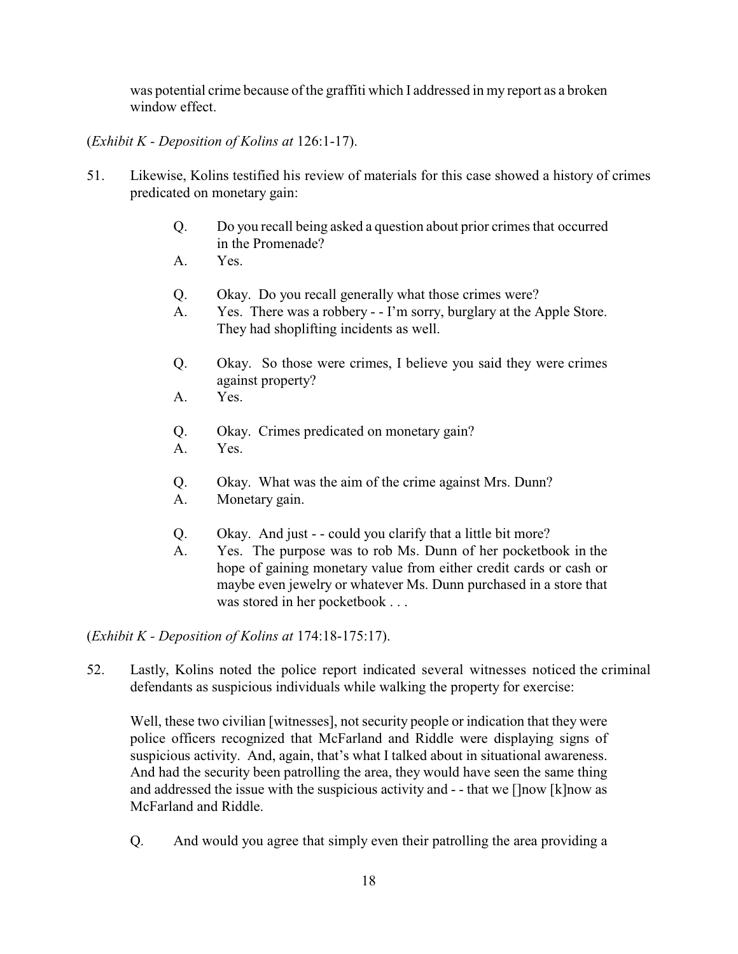was potential crime because of the graffiti which I addressed in my report as a broken window effect.

(*Exhibit K - Deposition of Kolins at* 126:1-17).

- 51. Likewise, Kolins testified his review of materials for this case showed a history of crimes predicated on monetary gain:
	- Q. Do you recall being asked a question about prior crimes that occurred in the Promenade?
	- A. Yes.
	- Q. Okay. Do you recall generally what those crimes were?
	- A. Yes. There was a robbery - I'm sorry, burglary at the Apple Store. They had shoplifting incidents as well.
	- Q. Okay. So those were crimes, I believe you said they were crimes against property?
	- A. Yes.
	- Q. Okay. Crimes predicated on monetary gain?
	- A. Yes.
	- Q. Okay. What was the aim of the crime against Mrs. Dunn?
	- A. Monetary gain.
	- Q. Okay. And just - could you clarify that a little bit more?
	- A. Yes. The purpose was to rob Ms. Dunn of her pocketbook in the hope of gaining monetary value from either credit cards or cash or maybe even jewelry or whatever Ms. Dunn purchased in a store that was stored in her pocketbook . . .

(*Exhibit K - Deposition of Kolins at* 174:18-175:17).

52. Lastly, Kolins noted the police report indicated several witnesses noticed the criminal defendants as suspicious individuals while walking the property for exercise:

Well, these two civilian [witnesses], not security people or indication that they were police officers recognized that McFarland and Riddle were displaying signs of suspicious activity. And, again, that's what I talked about in situational awareness. And had the security been patrolling the area, they would have seen the same thing and addressed the issue with the suspicious activity and - - that we []now [k]now as McFarland and Riddle.

Q. And would you agree that simply even their patrolling the area providing a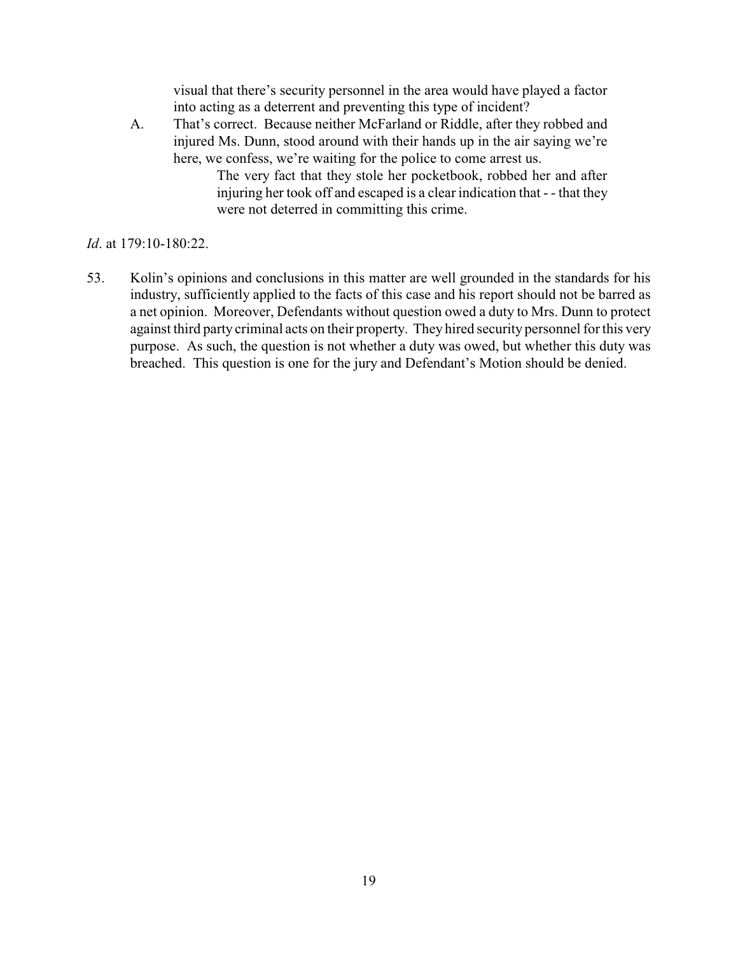visual that there's security personnel in the area would have played a factor into acting as a deterrent and preventing this type of incident?

A. That's correct. Because neither McFarland or Riddle, after they robbed and injured Ms. Dunn, stood around with their hands up in the air saying we're here, we confess, we're waiting for the police to come arrest us.

The very fact that they stole her pocketbook, robbed her and after injuring her took off and escaped is a clear indication that - - that they were not deterred in committing this crime.

#### *Id*. at 179:10-180:22.

53. Kolin's opinions and conclusions in this matter are well grounded in the standards for his industry, sufficiently applied to the facts of this case and his report should not be barred as a net opinion. Moreover, Defendants without question owed a duty to Mrs. Dunn to protect against third party criminal acts on their property. They hired security personnel for this very purpose. As such, the question is not whether a duty was owed, but whether this duty was breached. This question is one for the jury and Defendant's Motion should be denied.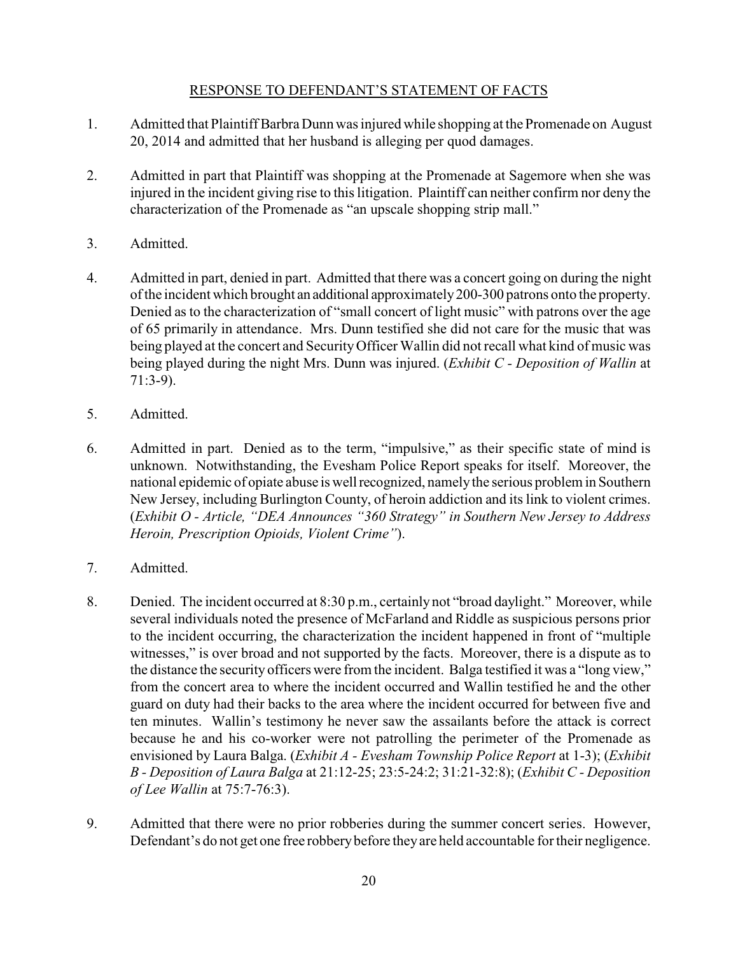# RESPONSE TO DEFENDANT'S STATEMENT OF FACTS

- 1. Admitted that Plaintiff Barbra Dunn was injured while shopping at the Promenade on August 20, 2014 and admitted that her husband is alleging per quod damages.
- 2. Admitted in part that Plaintiff was shopping at the Promenade at Sagemore when she was injured in the incident giving rise to this litigation. Plaintiff can neither confirm nor deny the characterization of the Promenade as "an upscale shopping strip mall."
- 3. Admitted.
- 4. Admitted in part, denied in part. Admitted that there was a concert going on during the night of the incident which brought an additional approximately 200-300 patrons onto the property. Denied as to the characterization of "small concert of light music" with patrons over the age of 65 primarily in attendance. Mrs. Dunn testified she did not care for the music that was being played at the concert and SecurityOfficer Wallin did not recall what kind of music was being played during the night Mrs. Dunn was injured. (*Exhibit C - Deposition of Wallin* at 71:3-9).
- 5. Admitted.
- 6. Admitted in part. Denied as to the term, "impulsive," as their specific state of mind is unknown. Notwithstanding, the Evesham Police Report speaks for itself. Moreover, the national epidemic of opiate abuse is well recognized, namely the serious problem in Southern New Jersey, including Burlington County, of heroin addiction and its link to violent crimes. (*Exhibit O - Article, "DEA Announces "360 Strategy" in Southern New Jersey to Address Heroin, Prescription Opioids, Violent Crime"*).
- 7. Admitted.
- 8. Denied. The incident occurred at 8:30 p.m., certainly not "broad daylight." Moreover, while several individuals noted the presence of McFarland and Riddle as suspicious persons prior to the incident occurring, the characterization the incident happened in front of "multiple witnesses," is over broad and not supported by the facts. Moreover, there is a dispute as to the distance the security officers were from the incident. Balga testified it was a "long view," from the concert area to where the incident occurred and Wallin testified he and the other guard on duty had their backs to the area where the incident occurred for between five and ten minutes. Wallin's testimony he never saw the assailants before the attack is correct because he and his co-worker were not patrolling the perimeter of the Promenade as envisioned by Laura Balga. (*Exhibit A - Evesham Township Police Report* at 1-3); (*Exhibit B - Deposition of Laura Balga* at 21:12-25; 23:5-24:2; 31:21-32:8); (*Exhibit C - Deposition of Lee Wallin* at 75:7-76:3).
- 9. Admitted that there were no prior robberies during the summer concert series. However, Defendant's do not get one free robbery before they are held accountable for their negligence.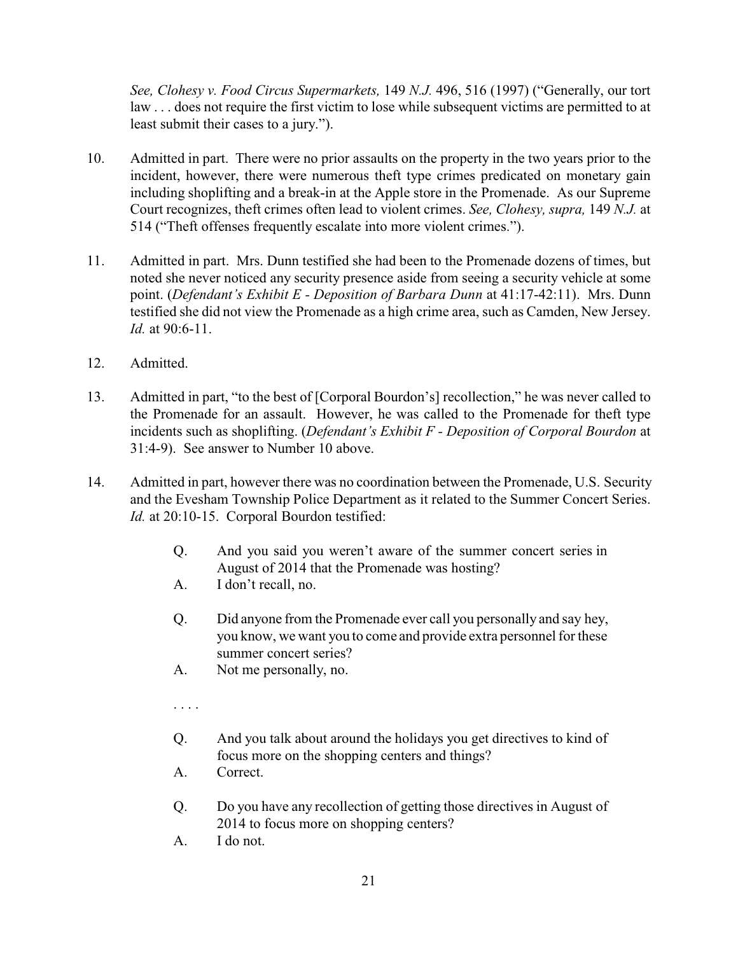*See, Clohesy v. Food Circus Supermarkets,* 149 *N.J.* 496, 516 (1997) ("Generally, our tort law . . . does not require the first victim to lose while subsequent victims are permitted to at least submit their cases to a jury.").

- 10. Admitted in part. There were no prior assaults on the property in the two years prior to the incident, however, there were numerous theft type crimes predicated on monetary gain including shoplifting and a break-in at the Apple store in the Promenade. As our Supreme Court recognizes, theft crimes often lead to violent crimes. *See, Clohesy, supra,* 149 *N.J.* at 514 ("Theft offenses frequently escalate into more violent crimes.").
- 11. Admitted in part. Mrs. Dunn testified she had been to the Promenade dozens of times, but noted she never noticed any security presence aside from seeing a security vehicle at some point. (*Defendant's Exhibit E - Deposition of Barbara Dunn* at 41:17-42:11). Mrs. Dunn testified she did not view the Promenade as a high crime area, such as Camden, New Jersey. *Id.* at 90:6-11.
- 12. Admitted.
- 13. Admitted in part, "to the best of [Corporal Bourdon's] recollection," he was never called to the Promenade for an assault. However, he was called to the Promenade for theft type incidents such as shoplifting. (*Defendant's Exhibit F - Deposition of Corporal Bourdon* at 31:4-9). See answer to Number 10 above.
- 14. Admitted in part, however there was no coordination between the Promenade, U.S. Security and the Evesham Township Police Department as it related to the Summer Concert Series. *Id.* at 20:10-15. Corporal Bourdon testified:
	- Q. And you said you weren't aware of the summer concert series in August of 2014 that the Promenade was hosting?
	- A. I don't recall, no.
	- Q. Did anyone from the Promenade ever call you personally and say hey, you know, we want you to come and provide extra personnel for these summer concert series?
	- A. Not me personally, no.

. . . .

- Q. And you talk about around the holidays you get directives to kind of focus more on the shopping centers and things?
- A. Correct.
- Q. Do you have any recollection of getting those directives in August of 2014 to focus more on shopping centers?
- A. I do not.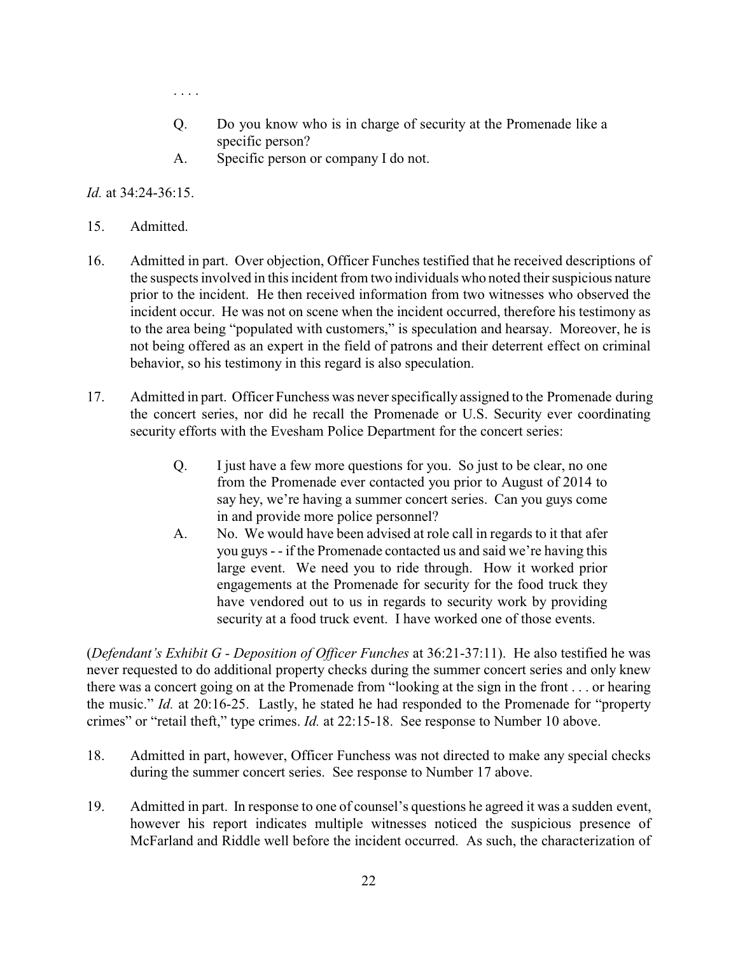. . . .

- Q. Do you know who is in charge of security at the Promenade like a specific person?
- A. Specific person or company I do not.

*Id.* at 34:24-36:15.

- 15. Admitted.
- 16. Admitted in part. Over objection, Officer Funches testified that he received descriptions of the suspects involved in this incident from two individuals who noted their suspicious nature prior to the incident. He then received information from two witnesses who observed the incident occur. He was not on scene when the incident occurred, therefore his testimony as to the area being "populated with customers," is speculation and hearsay. Moreover, he is not being offered as an expert in the field of patrons and their deterrent effect on criminal behavior, so his testimony in this regard is also speculation.
- 17. Admitted in part. Officer Funchess was never specifically assigned to the Promenade during the concert series, nor did he recall the Promenade or U.S. Security ever coordinating security efforts with the Evesham Police Department for the concert series:
	- Q. I just have a few more questions for you. So just to be clear, no one from the Promenade ever contacted you prior to August of 2014 to say hey, we're having a summer concert series. Can you guys come in and provide more police personnel?
	- A. No. We would have been advised at role call in regards to it that afer you guys - - if the Promenade contacted us and said we're having this large event. We need you to ride through. How it worked prior engagements at the Promenade for security for the food truck they have vendored out to us in regards to security work by providing security at a food truck event. I have worked one of those events.

(*Defendant's Exhibit G - Deposition of Officer Funches* at 36:21-37:11). He also testified he was never requested to do additional property checks during the summer concert series and only knew there was a concert going on at the Promenade from "looking at the sign in the front . . . or hearing the music." *Id.* at 20:16-25. Lastly, he stated he had responded to the Promenade for "property crimes" or "retail theft," type crimes. *Id.* at 22:15-18. See response to Number 10 above.

- 18. Admitted in part, however, Officer Funchess was not directed to make any special checks during the summer concert series. See response to Number 17 above.
- 19. Admitted in part. In response to one of counsel's questions he agreed it was a sudden event, however his report indicates multiple witnesses noticed the suspicious presence of McFarland and Riddle well before the incident occurred. As such, the characterization of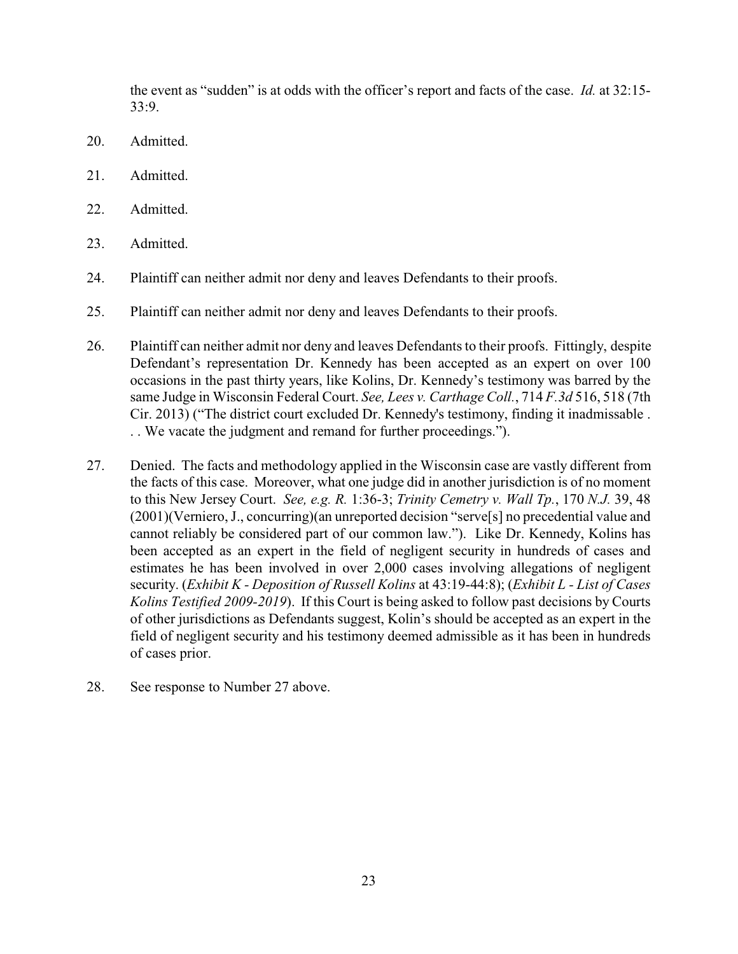the event as "sudden" is at odds with the officer's report and facts of the case. *Id.* at 32:15- 33:9.

- 20. Admitted.
- 21. Admitted.
- 22. Admitted.
- 23. Admitted.
- 24. Plaintiff can neither admit nor deny and leaves Defendants to their proofs.
- 25. Plaintiff can neither admit nor deny and leaves Defendants to their proofs.
- 26. Plaintiff can neither admit nor deny and leaves Defendants to their proofs. Fittingly, despite Defendant's representation Dr. Kennedy has been accepted as an expert on over 100 occasions in the past thirty years, like Kolins, Dr. Kennedy's testimony was barred by the same Judge in Wisconsin Federal Court. *See, Lees v. Carthage Coll.*, 714 *F.3d* 516, 518 (7th Cir. 2013) ("The district court excluded Dr. Kennedy's testimony, finding it inadmissable . . . We vacate the judgment and remand for further proceedings.").
- 27. Denied. The facts and methodology applied in the Wisconsin case are vastly different from the facts of this case. Moreover, what one judge did in another jurisdiction is of no moment to this New Jersey Court. *See, e.g. R.* 1:36-3; *Trinity Cemetry v. Wall Tp.*, 170 *N.J.* 39, 48 (2001)(Verniero, J., concurring)(an unreported decision "serve[s] no precedential value and cannot reliably be considered part of our common law."). Like Dr. Kennedy, Kolins has been accepted as an expert in the field of negligent security in hundreds of cases and estimates he has been involved in over 2,000 cases involving allegations of negligent security. (*Exhibit K - Deposition of Russell Kolins* at 43:19-44:8); (*Exhibit L - List of Cases Kolins Testified 2009-2019*). If this Court is being asked to follow past decisions by Courts of other jurisdictions as Defendants suggest, Kolin's should be accepted as an expert in the field of negligent security and his testimony deemed admissible as it has been in hundreds of cases prior.
- 28. See response to Number 27 above.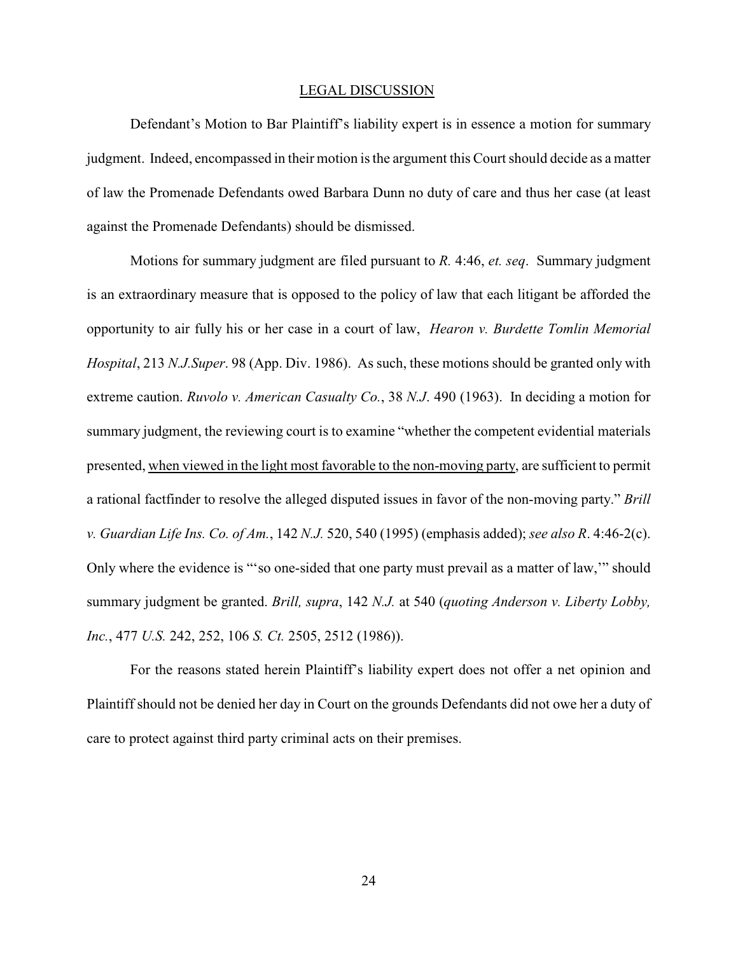#### LEGAL DISCUSSION

Defendant's Motion to Bar Plaintiff's liability expert is in essence a motion for summary judgment. Indeed, encompassed in their motion is the argument this Court should decide as a matter of law the Promenade Defendants owed Barbara Dunn no duty of care and thus her case (at least against the Promenade Defendants) should be dismissed.

Motions for summary judgment are filed pursuant to *R.* 4:46, *et. seq*. Summary judgment is an extraordinary measure that is opposed to the policy of law that each litigant be afforded the opportunity to air fully his or her case in a court of law, *Hearon v. Burdette Tomlin Memorial Hospital*, 213 *N.J.Super*. 98 (App. Div. 1986). As such, these motions should be granted only with extreme caution. *Ruvolo v. American Casualty Co.*, 38 *N.J*. 490 (1963). In deciding a motion for summary judgment, the reviewing court is to examine "whether the competent evidential materials presented, when viewed in the light most favorable to the non-moving party, are sufficient to permit a rational factfinder to resolve the alleged disputed issues in favor of the non-moving party." *Brill v. Guardian Life Ins. Co. of Am.*, 142 *N.J.* 520, 540 (1995) (emphasis added); *see also R*. 4:46-2(c). Only where the evidence is "'so one-sided that one party must prevail as a matter of law,'" should summary judgment be granted. *Brill, supra*, 142 *N.J.* at 540 (*quoting Anderson v. Liberty Lobby, Inc.*, 477 *U.S.* 242, 252, 106 *S. Ct.* 2505, 2512 (1986)).

For the reasons stated herein Plaintiff's liability expert does not offer a net opinion and Plaintiff should not be denied her day in Court on the grounds Defendants did not owe her a duty of care to protect against third party criminal acts on their premises.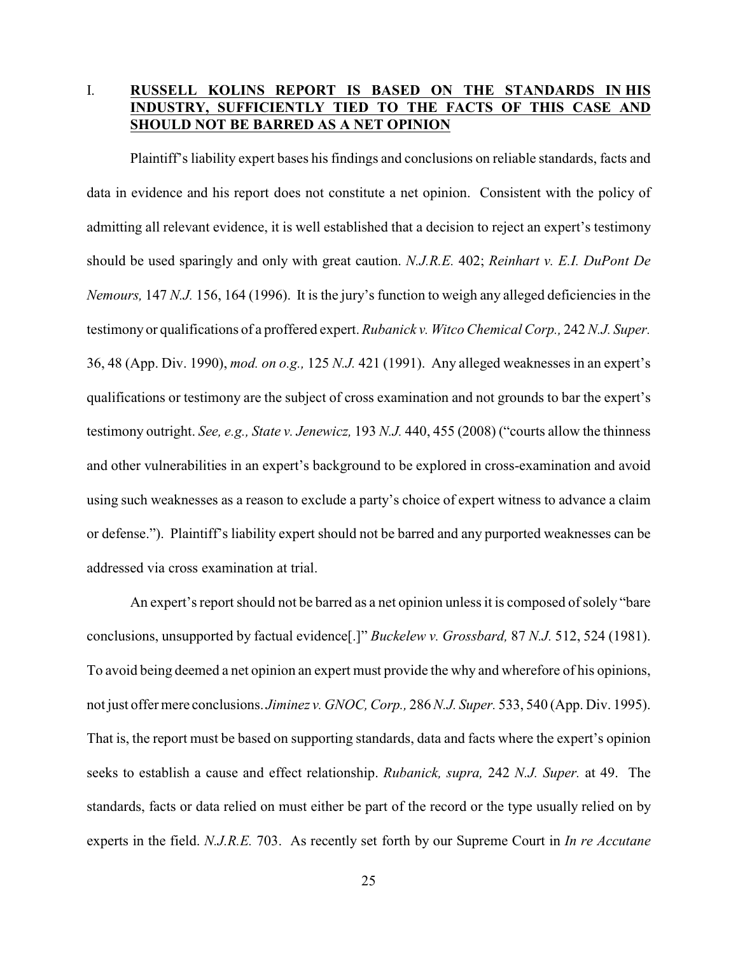# I. **RUSSELL KOLINS REPORT IS BASED ON THE STANDARDS IN HIS INDUSTRY, SUFFICIENTLY TIED TO THE FACTS OF THIS CASE AND SHOULD NOT BE BARRED AS A NET OPINION**

Plaintiff's liability expert bases his findings and conclusions on reliable standards, facts and data in evidence and his report does not constitute a net opinion. Consistent with the policy of admitting all relevant evidence, it is well established that a decision to reject an expert's testimony should be used sparingly and only with great caution. *N.J.R.E.* 402; *Reinhart v. E.I. DuPont De Nemours,* 147 *N.J.* 156, 164 (1996). It is the jury's function to weigh any alleged deficiencies in the testimony or qualifications of a proffered expert. *Rubanick v. Witco Chemical Corp.,* 242 *N.J. Super.* 36, 48 (App. Div. 1990), *mod. on o.g.,* 125 *N.J.* 421 (1991). Any alleged weaknesses in an expert's qualifications or testimony are the subject of cross examination and not grounds to bar the expert's testimony outright. *See, e.g., State v. Jenewicz,* 193 *N.J.* 440, 455 (2008) ("courts allow the thinness and other vulnerabilities in an expert's background to be explored in cross-examination and avoid using such weaknesses as a reason to exclude a party's choice of expert witness to advance a claim or defense."). Plaintiff's liability expert should not be barred and any purported weaknesses can be addressed via cross examination at trial.

An expert's report should not be barred as a net opinion unless it is composed of solely "bare conclusions, unsupported by factual evidence[.]" *Buckelew v. Grossbard,* 87 *N.J.* 512, 524 (1981). To avoid being deemed a net opinion an expert must provide the why and wherefore of his opinions, not just offer mere conclusions. *Jiminez v. GNOC, Corp.,* 286 *N.J. Super.* 533, 540 (App. Div. 1995). That is, the report must be based on supporting standards, data and facts where the expert's opinion seeks to establish a cause and effect relationship. *Rubanick, supra,* 242 *N.J. Super.* at 49. The standards, facts or data relied on must either be part of the record or the type usually relied on by experts in the field. *N.J.R.E.* 703. As recently set forth by our Supreme Court in *In re Accutane*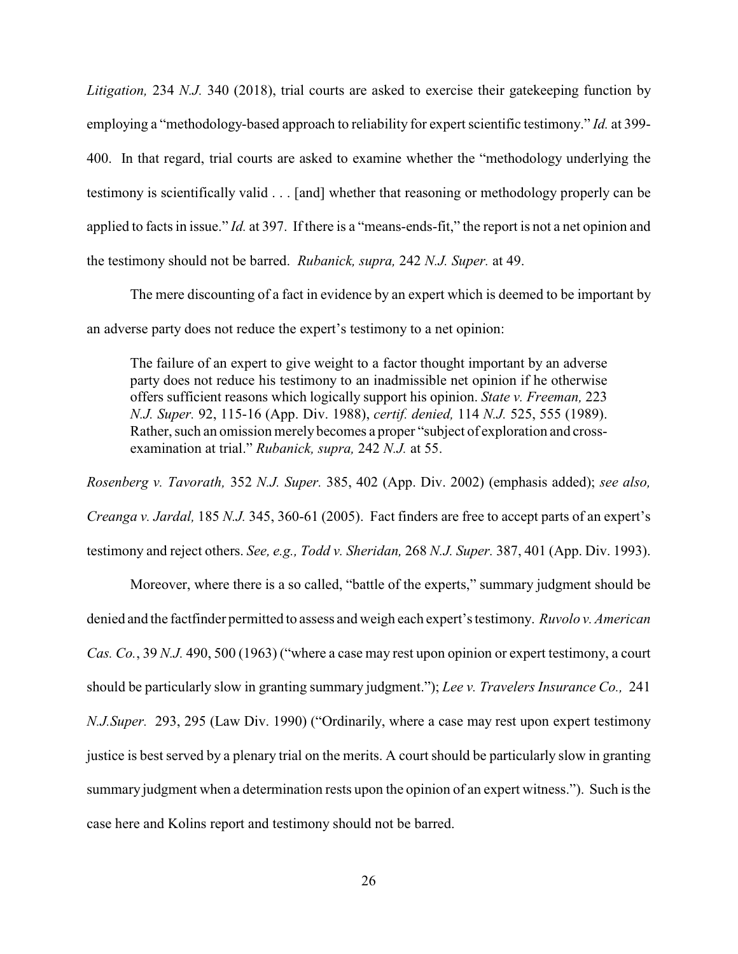*Litigation,* 234 *N.J.* 340 (2018), trial courts are asked to exercise their gatekeeping function by employing a "methodology-based approach to reliability for expert scientific testimony." *Id.* at 399- 400. In that regard, trial courts are asked to examine whether the "methodology underlying the testimony is scientifically valid . . . [and] whether that reasoning or methodology properly can be applied to facts in issue." *Id.* at 397. If there is a "means-ends-fit," the report is not a net opinion and the testimony should not be barred. *Rubanick, supra,* 242 *N.J. Super.* at 49.

The mere discounting of a fact in evidence by an expert which is deemed to be important by an adverse party does not reduce the expert's testimony to a net opinion:

The failure of an expert to give weight to a factor thought important by an adverse party does not reduce his testimony to an inadmissible net opinion if he otherwise offers sufficient reasons which logically support his opinion. *State v. Freeman,* 223 *N.J. Super.* 92, 115-16 (App. Div. 1988), *certif. denied,* 114 *N.J.* 525, 555 (1989). Rather, such an omission merely becomes a proper "subject of exploration and crossexamination at trial." *Rubanick, supra,* 242 *N.J.* at 55.

*Rosenberg v. Tavorath,* 352 *N.J. Super.* 385, 402 (App. Div. 2002) (emphasis added); *see also, Creanga v. Jardal,* 185 *N.J.* 345, 360-61 (2005). Fact finders are free to accept parts of an expert's testimony and reject others. *See, e.g., Todd v. Sheridan,* 268 *N.J. Super.* 387, 401 (App. Div. 1993).

Moreover, where there is a so called, "battle of the experts," summary judgment should be denied and the factfinder permitted to assess and weigh each expert's testimony. *Ruvolo v. American Cas. Co.*, 39 *N.J.* 490, 500 (1963) ("where a case may rest upon opinion or expert testimony, a court should be particularly slow in granting summary judgment."); *Lee v. Travelers Insurance Co.,* 241 *N.J.Super.* 293, 295 (Law Div. 1990) ("Ordinarily, where a case may rest upon expert testimony justice is best served by a plenary trial on the merits. A court should be particularly slow in granting summary judgment when a determination rests upon the opinion of an expert witness."). Such is the case here and Kolins report and testimony should not be barred.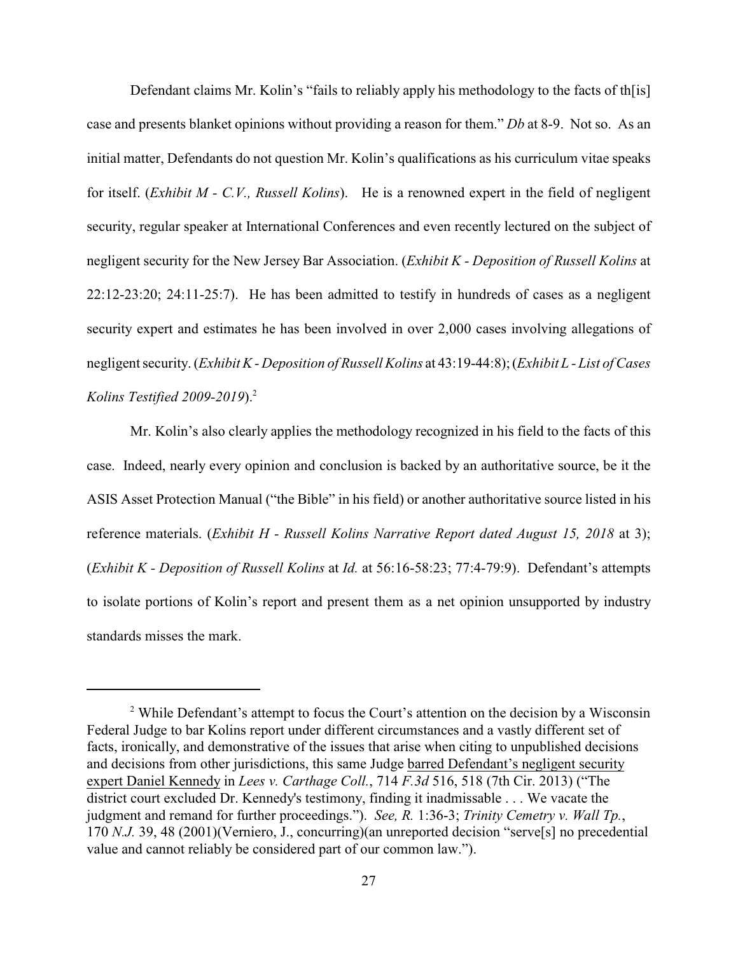Defendant claims Mr. Kolin's "fails to reliably apply his methodology to the facts of the lisl case and presents blanket opinions without providing a reason for them." *Db* at 8-9. Not so. As an initial matter, Defendants do not question Mr. Kolin's qualifications as his curriculum vitae speaks for itself. (*Exhibit M - C.V., Russell Kolins*). He is a renowned expert in the field of negligent security, regular speaker at International Conferences and even recently lectured on the subject of negligent security for the New Jersey Bar Association. (*Exhibit K - Deposition of Russell Kolins* at 22:12-23:20; 24:11-25:7). He has been admitted to testify in hundreds of cases as a negligent security expert and estimates he has been involved in over 2,000 cases involving allegations of negligent security. (*Exhibit K - Deposition of Russell Kolins* at 43:19-44:8); (*Exhibit L - List of Cases Kolins Testified 2009-2019*).<sup>2</sup>

Mr. Kolin's also clearly applies the methodology recognized in his field to the facts of this case. Indeed, nearly every opinion and conclusion is backed by an authoritative source, be it the ASIS Asset Protection Manual ("the Bible" in his field) or another authoritative source listed in his reference materials. (*Exhibit H - Russell Kolins Narrative Report dated August 15, 2018* at 3); (*Exhibit K - Deposition of Russell Kolins* at *Id.* at 56:16-58:23; 77:4-79:9). Defendant's attempts to isolate portions of Kolin's report and present them as a net opinion unsupported by industry standards misses the mark.

<sup>&</sup>lt;sup>2</sup> While Defendant's attempt to focus the Court's attention on the decision by a Wisconsin Federal Judge to bar Kolins report under different circumstances and a vastly different set of facts, ironically, and demonstrative of the issues that arise when citing to unpublished decisions and decisions from other jurisdictions, this same Judge barred Defendant's negligent security expert Daniel Kennedy in *Lees v. Carthage Coll.*, 714 *F.3d* 516, 518 (7th Cir. 2013) ("The district court excluded Dr. Kennedy's testimony, finding it inadmissable . . . We vacate the judgment and remand for further proceedings."). *See, R.* 1:36-3; *Trinity Cemetry v. Wall Tp.*, 170 *N.J.* 39, 48 (2001)(Verniero, J., concurring)(an unreported decision "serve[s] no precedential value and cannot reliably be considered part of our common law.").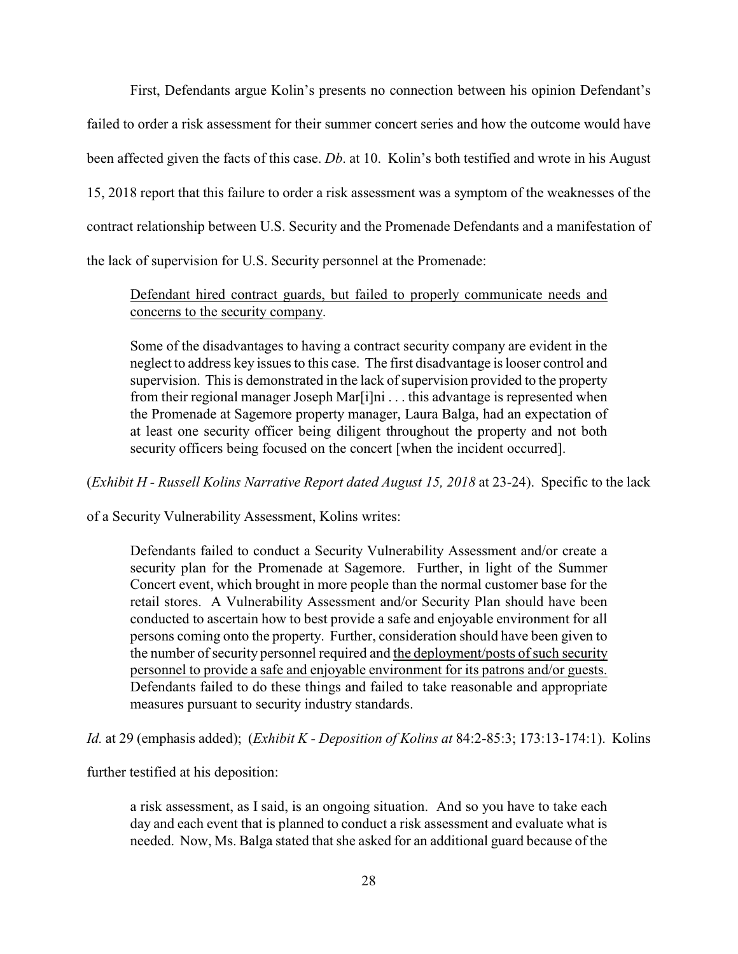First, Defendants argue Kolin's presents no connection between his opinion Defendant's failed to order a risk assessment for their summer concert series and how the outcome would have been affected given the facts of this case. *Db*. at 10. Kolin's both testified and wrote in his August 15, 2018 report that this failure to order a risk assessment was a symptom of the weaknesses of the contract relationship between U.S. Security and the Promenade Defendants and a manifestation of the lack of supervision for U.S. Security personnel at the Promenade:

Defendant hired contract guards, but failed to properly communicate needs and concerns to the security company.

Some of the disadvantages to having a contract security company are evident in the neglect to address key issues to this case. The first disadvantage is looser control and supervision. This is demonstrated in the lack of supervision provided to the property from their regional manager Joseph Mar[i]ni . . . this advantage is represented when the Promenade at Sagemore property manager, Laura Balga, had an expectation of at least one security officer being diligent throughout the property and not both security officers being focused on the concert [when the incident occurred].

(*Exhibit H - Russell Kolins Narrative Report dated August 15, 2018* at 23-24). Specific to the lack

of a Security Vulnerability Assessment, Kolins writes:

Defendants failed to conduct a Security Vulnerability Assessment and/or create a security plan for the Promenade at Sagemore. Further, in light of the Summer Concert event, which brought in more people than the normal customer base for the retail stores. A Vulnerability Assessment and/or Security Plan should have been conducted to ascertain how to best provide a safe and enjoyable environment for all persons coming onto the property. Further, consideration should have been given to the number of security personnel required and the deployment/posts of such security personnel to provide a safe and enjoyable environment for its patrons and/or guests. Defendants failed to do these things and failed to take reasonable and appropriate measures pursuant to security industry standards.

*Id.* at 29 (emphasis added); (*Exhibit K - Deposition of Kolins at* 84:2-85:3; 173:13-174:1). Kolins

further testified at his deposition:

a risk assessment, as I said, is an ongoing situation. And so you have to take each day and each event that is planned to conduct a risk assessment and evaluate what is needed. Now, Ms. Balga stated that she asked for an additional guard because of the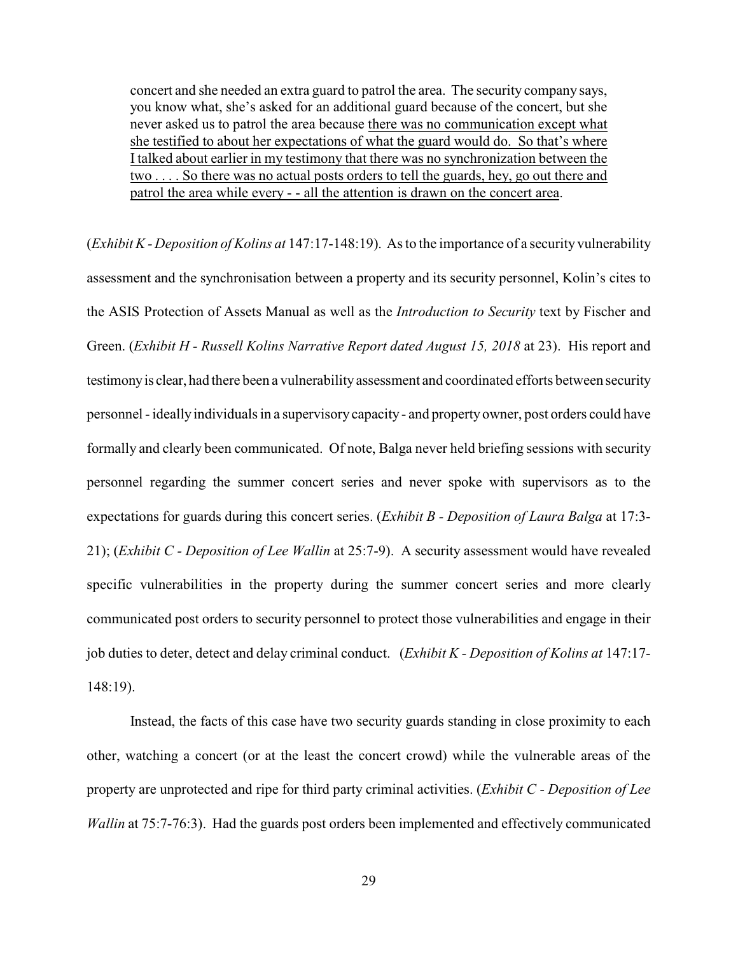concert and she needed an extra guard to patrol the area. The security company says, you know what, she's asked for an additional guard because of the concert, but she never asked us to patrol the area because there was no communication except what she testified to about her expectations of what the guard would do. So that's where I talked about earlier in my testimony that there was no synchronization between the two . . . . So there was no actual posts orders to tell the guards, hey, go out there and patrol the area while every - - all the attention is drawn on the concert area.

(*Exhibit K - Deposition of Kolins at* 147:17-148:19). Asto the importance of a security vulnerability assessment and the synchronisation between a property and its security personnel, Kolin's cites to the ASIS Protection of Assets Manual as well as the *Introduction to Security* text by Fischer and Green. (*Exhibit H - Russell Kolins Narrative Report dated August 15, 2018* at 23). His report and testimony is clear, had there been a vulnerability assessment and coordinated efforts between security personnel - ideally individuals in a supervisory capacity - and property owner, post orders could have formally and clearly been communicated. Of note, Balga never held briefing sessions with security personnel regarding the summer concert series and never spoke with supervisors as to the expectations for guards during this concert series. (*Exhibit B - Deposition of Laura Balga* at 17:3- 21); (*Exhibit C - Deposition of Lee Wallin* at 25:7-9). A security assessment would have revealed specific vulnerabilities in the property during the summer concert series and more clearly communicated post orders to security personnel to protect those vulnerabilities and engage in their job duties to deter, detect and delay criminal conduct. (*Exhibit K - Deposition of Kolins at* 147:17- 148:19).

Instead, the facts of this case have two security guards standing in close proximity to each other, watching a concert (or at the least the concert crowd) while the vulnerable areas of the property are unprotected and ripe for third party criminal activities. (*Exhibit C - Deposition of Lee Wallin* at 75:7-76:3). Had the guards post orders been implemented and effectively communicated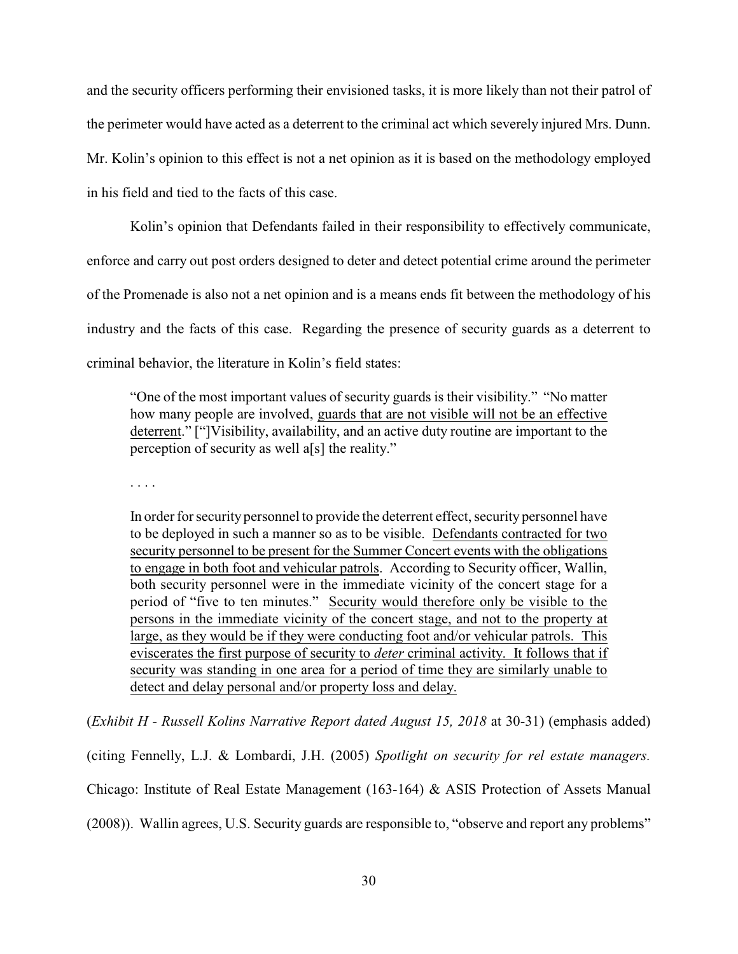and the security officers performing their envisioned tasks, it is more likely than not their patrol of the perimeter would have acted as a deterrent to the criminal act which severely injured Mrs. Dunn. Mr. Kolin's opinion to this effect is not a net opinion as it is based on the methodology employed in his field and tied to the facts of this case.

Kolin's opinion that Defendants failed in their responsibility to effectively communicate, enforce and carry out post orders designed to deter and detect potential crime around the perimeter of the Promenade is also not a net opinion and is a means ends fit between the methodology of his industry and the facts of this case. Regarding the presence of security guards as a deterrent to criminal behavior, the literature in Kolin's field states:

"One of the most important values of security guards is their visibility." "No matter how many people are involved, guards that are not visible will not be an effective deterrent." ["]Visibility, availability, and an active duty routine are important to the perception of security as well a[s] the reality."

. . . .

In order for security personnel to provide the deterrent effect, security personnel have to be deployed in such a manner so as to be visible. Defendants contracted for two security personnel to be present for the Summer Concert events with the obligations to engage in both foot and vehicular patrols. According to Security officer, Wallin, both security personnel were in the immediate vicinity of the concert stage for a period of "five to ten minutes." Security would therefore only be visible to the persons in the immediate vicinity of the concert stage, and not to the property at large, as they would be if they were conducting foot and/or vehicular patrols. This eviscerates the first purpose of security to *deter* criminal activity. It follows that if security was standing in one area for a period of time they are similarly unable to detect and delay personal and/or property loss and delay.

(*Exhibit H - Russell Kolins Narrative Report dated August 15, 2018* at 30-31) (emphasis added)

(citing Fennelly, L.J. & Lombardi, J.H. (2005) *Spotlight on security for rel estate managers.*

Chicago: Institute of Real Estate Management (163-164) & ASIS Protection of Assets Manual

(2008)). Wallin agrees, U.S. Security guards are responsible to, "observe and report any problems"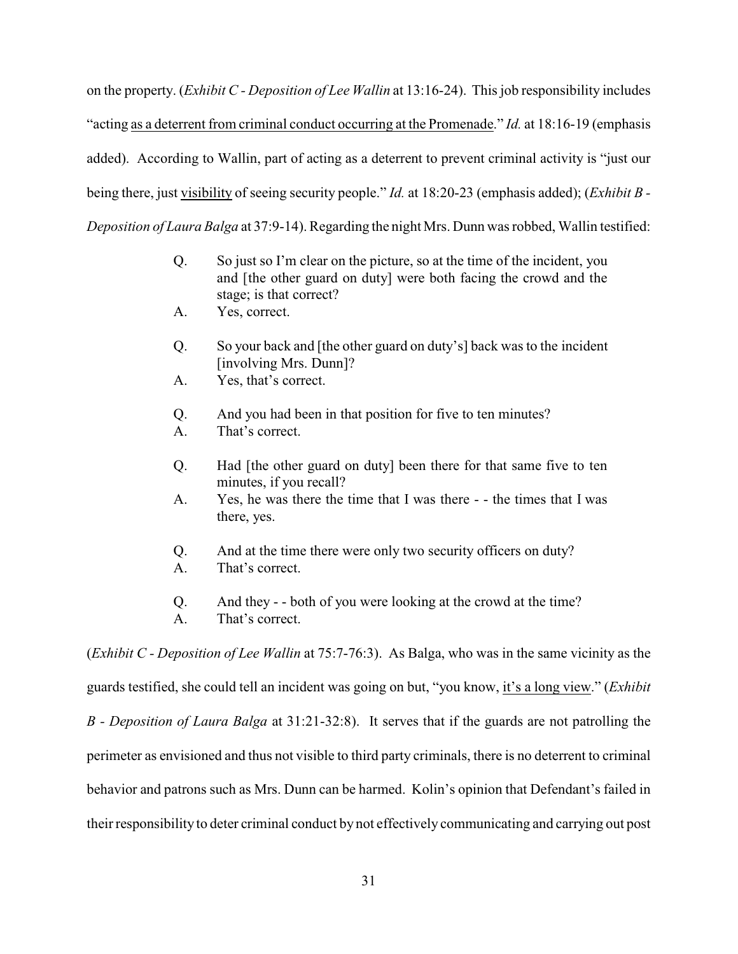on the property. (*Exhibit C - Deposition of Lee Wallin* at 13:16-24). This job responsibility includes "acting as a deterrent from criminal conduct occurring at the Promenade." *Id.* at 18:16-19 (emphasis added). According to Wallin, part of acting as a deterrent to prevent criminal activity is "just our being there, just visibility of seeing security people." *Id.* at 18:20-23 (emphasis added); (*Exhibit B -*

*Deposition of Laura Balga* at 37:9-14). Regarding the night Mrs. Dunn was robbed, Wallin testified:

- Q. So just so I'm clear on the picture, so at the time of the incident, you and [the other guard on duty] were both facing the crowd and the stage; is that correct?
- A. Yes, correct.
- Q. So your back and [the other guard on duty's] back was to the incident [involving Mrs. Dunn]?
- A. Yes, that's correct.
- Q. And you had been in that position for five to ten minutes?
- A. That's correct.
- Q. Had [the other guard on duty] been there for that same five to ten minutes, if you recall?
- A. Yes, he was there the time that I was there - the times that I was there, yes.
- Q. And at the time there were only two security officers on duty?
- A. That's correct.
- Q. And they - both of you were looking at the crowd at the time?
- A. That's correct.

(*Exhibit C - Deposition of Lee Wallin* at 75:7-76:3). As Balga, who was in the same vicinity as the guards testified, she could tell an incident was going on but, "you know, it's a long view." (*Exhibit B - Deposition of Laura Balga* at 31:21-32:8). It serves that if the guards are not patrolling the perimeter as envisioned and thus not visible to third party criminals, there is no deterrent to criminal behavior and patrons such as Mrs. Dunn can be harmed. Kolin's opinion that Defendant's failed in their responsibility to deter criminal conduct by not effectively communicating and carrying out post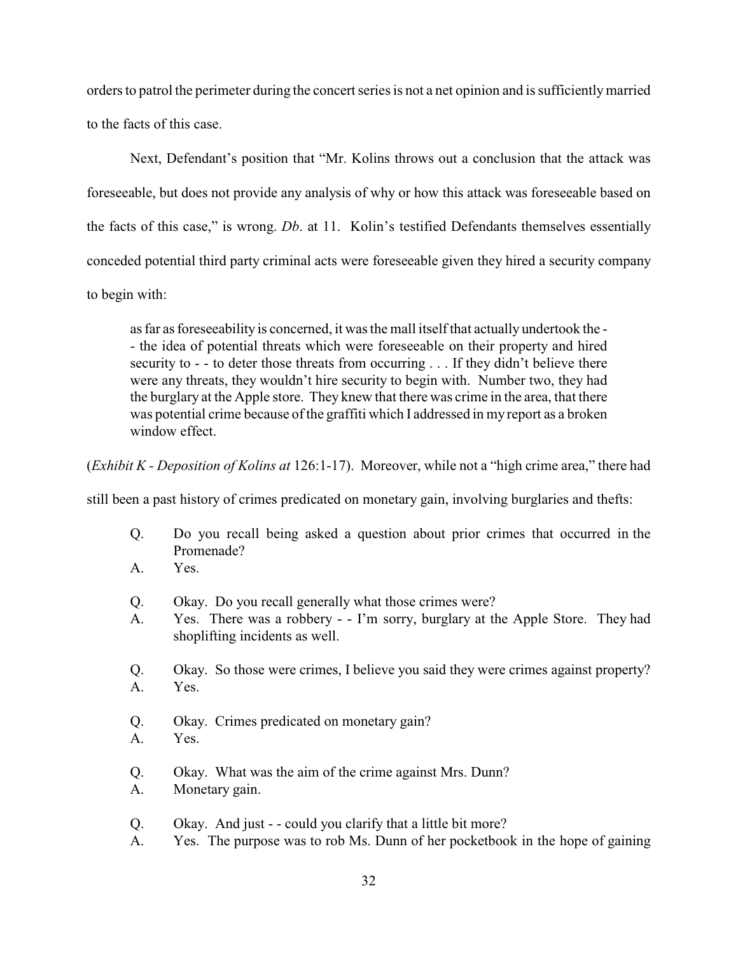orders to patrol the perimeter during the concert series is not a net opinion and is sufficiently married to the facts of this case.

Next, Defendant's position that "Mr. Kolins throws out a conclusion that the attack was foreseeable, but does not provide any analysis of why or how this attack was foreseeable based on the facts of this case," is wrong. *Db*. at 11. Kolin's testified Defendants themselves essentially conceded potential third party criminal acts were foreseeable given they hired a security company to begin with:

as far as foreseeability is concerned, it was the mall itself that actually undertook the - - the idea of potential threats which were foreseeable on their property and hired security to - - to deter those threats from occurring . . . If they didn't believe there were any threats, they wouldn't hire security to begin with. Number two, they had the burglary at the Apple store. They knew that there was crime in the area, that there was potential crime because of the graffiti which I addressed in my report as a broken window effect.

(*Exhibit K - Deposition of Kolins at* 126:1-17). Moreover, while not a "high crime area," there had

still been a past history of crimes predicated on monetary gain, involving burglaries and thefts:

- Q. Do you recall being asked a question about prior crimes that occurred in the Promenade?
- A. Yes.
- Q. Okay. Do you recall generally what those crimes were?
- A. Yes. There was a robbery - I'm sorry, burglary at the Apple Store. They had shoplifting incidents as well.
- Q. Okay. So those were crimes, I believe you said they were crimes against property? A. Yes.
- Q. Okay. Crimes predicated on monetary gain?
- A. Yes.
- Q. Okay. What was the aim of the crime against Mrs. Dunn?
- A. Monetary gain.
- Q. Okay. And just - could you clarify that a little bit more?
- A. Yes. The purpose was to rob Ms. Dunn of her pocketbook in the hope of gaining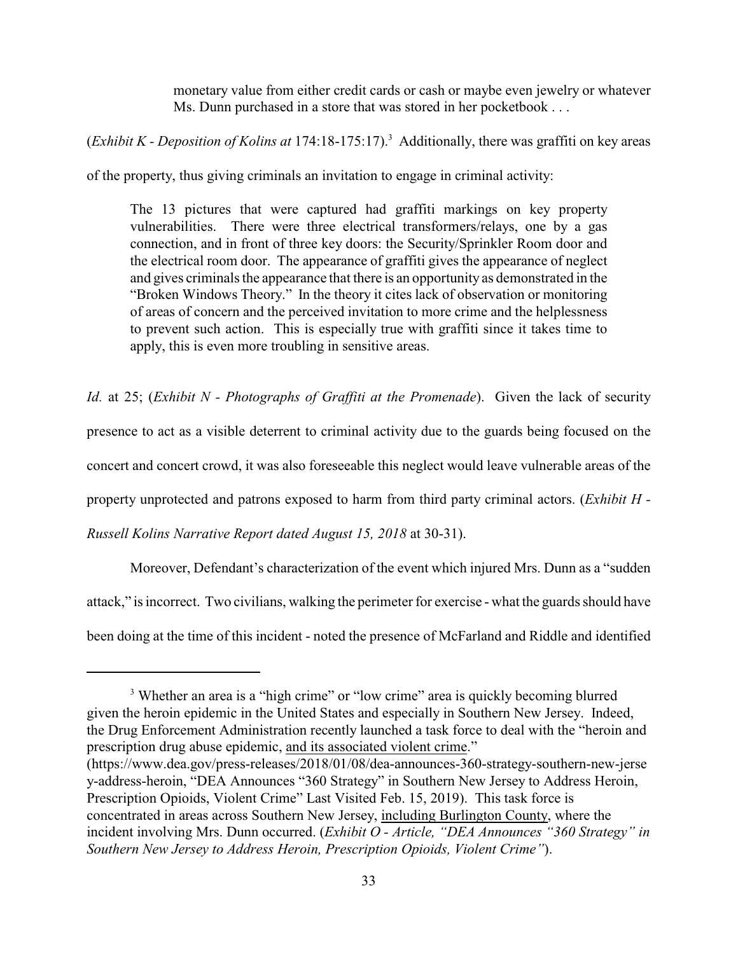monetary value from either credit cards or cash or maybe even jewelry or whatever Ms. Dunn purchased in a store that was stored in her pocketbook . . .

(*Exhibit K - Deposition of Kolins at* 174:18-175:17).<sup>3</sup> Additionally, there was graffiti on key areas

of the property, thus giving criminals an invitation to engage in criminal activity:

The 13 pictures that were captured had graffiti markings on key property vulnerabilities. There were three electrical transformers/relays, one by a gas connection, and in front of three key doors: the Security/Sprinkler Room door and the electrical room door. The appearance of graffiti gives the appearance of neglect and gives criminals the appearance that there is an opportunity as demonstrated in the "Broken Windows Theory." In the theory it cites lack of observation or monitoring of areas of concern and the perceived invitation to more crime and the helplessness to prevent such action. This is especially true with graffiti since it takes time to apply, this is even more troubling in sensitive areas.

*Id.* at 25; (*Exhibit N - Photographs of Graffiti at the Promenade*). Given the lack of security

presence to act as a visible deterrent to criminal activity due to the guards being focused on the

concert and concert crowd, it was also foreseeable this neglect would leave vulnerable areas of the

property unprotected and patrons exposed to harm from third party criminal actors. (*Exhibit H -*

*Russell Kolins Narrative Report dated August 15, 2018* at 30-31).

Moreover, Defendant's characterization of the event which injured Mrs. Dunn as a "sudden attack," is incorrect. Two civilians, walking the perimeter for exercise - what the guards should have been doing at the time of this incident - noted the presence of McFarland and Riddle and identified

<sup>&</sup>lt;sup>3</sup> Whether an area is a "high crime" or "low crime" area is quickly becoming blurred given the heroin epidemic in the United States and especially in Southern New Jersey. Indeed, the Drug Enforcement Administration recently launched a task force to deal with the "heroin and prescription drug abuse epidemic, and its associated violent crime."

<sup>(</sup>https://www.dea.gov/press-releases/2018/01/08/dea-announces-360-strategy-southern-new-jerse y-address-heroin, "DEA Announces "360 Strategy" in Southern New Jersey to Address Heroin, Prescription Opioids, Violent Crime" Last Visited Feb. 15, 2019). This task force is concentrated in areas across Southern New Jersey, including Burlington County, where the incident involving Mrs. Dunn occurred. (*Exhibit O - Article, "DEA Announces "360 Strategy" in Southern New Jersey to Address Heroin, Prescription Opioids, Violent Crime"*).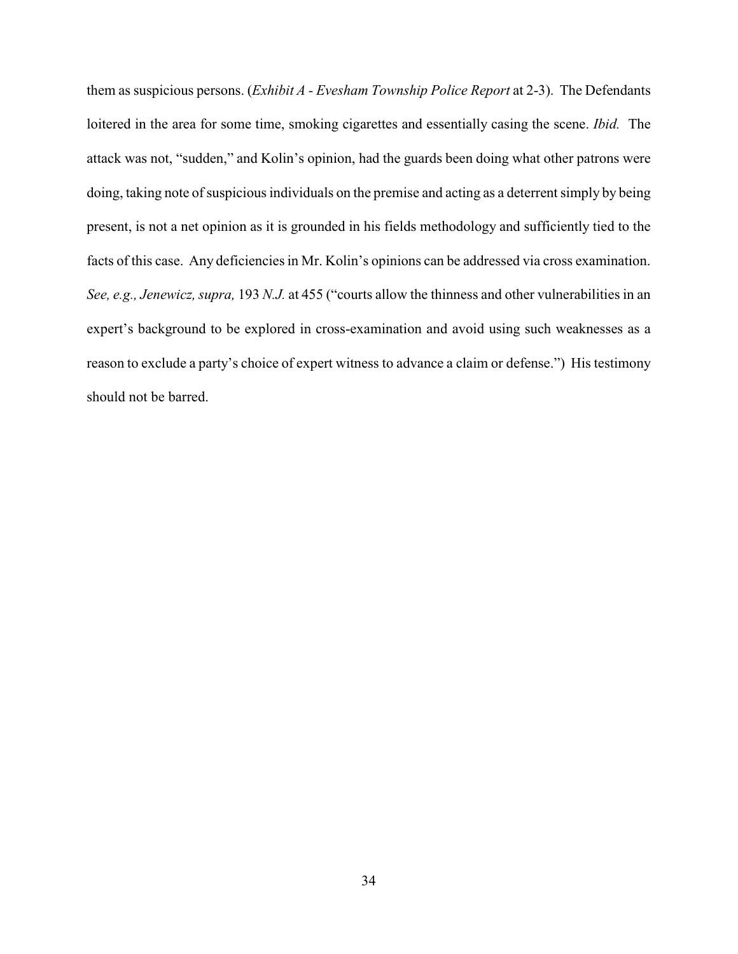them as suspicious persons. (*Exhibit A - Evesham Township Police Report* at 2-3). The Defendants loitered in the area for some time, smoking cigarettes and essentially casing the scene. *Ibid.* The attack was not, "sudden," and Kolin's opinion, had the guards been doing what other patrons were doing, taking note of suspicious individuals on the premise and acting as a deterrent simply by being present, is not a net opinion as it is grounded in his fields methodology and sufficiently tied to the facts of this case. Any deficiencies in Mr. Kolin's opinions can be addressed via cross examination. *See, e.g., Jenewicz, supra,* 193 *N.J.* at 455 ("courts allow the thinness and other vulnerabilities in an expert's background to be explored in cross-examination and avoid using such weaknesses as a reason to exclude a party's choice of expert witness to advance a claim or defense.") His testimony should not be barred.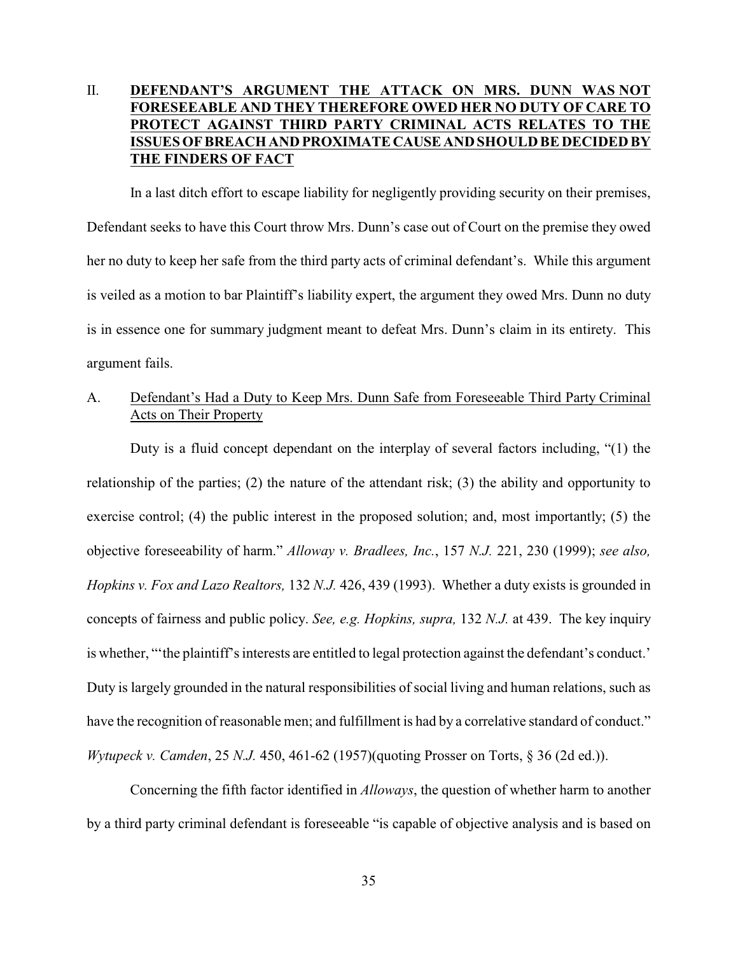# II. **DEFENDANT'S ARGUMENT THE ATTACK ON MRS. DUNN WAS NOT FORESEEABLE AND THEY THEREFORE OWED HER NO DUTY OF CARE TO PROTECT AGAINST THIRD PARTY CRIMINAL ACTS RELATES TO THE ISSUES OF BREACH AND PROXIMATE CAUSE AND SHOULD BE DECIDED BY THE FINDERS OF FACT**

In a last ditch effort to escape liability for negligently providing security on their premises, Defendant seeks to have this Court throw Mrs. Dunn's case out of Court on the premise they owed her no duty to keep her safe from the third party acts of criminal defendant's. While this argument is veiled as a motion to bar Plaintiff's liability expert, the argument they owed Mrs. Dunn no duty is in essence one for summary judgment meant to defeat Mrs. Dunn's claim in its entirety. This argument fails.

## A. Defendant's Had a Duty to Keep Mrs. Dunn Safe from Foreseeable Third Party Criminal Acts on Their Property

Duty is a fluid concept dependant on the interplay of several factors including, "(1) the relationship of the parties; (2) the nature of the attendant risk; (3) the ability and opportunity to exercise control; (4) the public interest in the proposed solution; and, most importantly; (5) the objective foreseeability of harm." *Alloway v. Bradlees, Inc.*, 157 *N.J.* 221, 230 (1999); *see also, Hopkins v. Fox and Lazo Realtors,* 132 *N.J.* 426, 439 (1993). Whether a duty exists is grounded in concepts of fairness and public policy. *See, e.g. Hopkins, supra,* 132 *N.J.* at 439. The key inquiry is whether, "'the plaintiff's interests are entitled to legal protection against the defendant's conduct.' Duty is largely grounded in the natural responsibilities of social living and human relations, such as have the recognition of reasonable men; and fulfillment is had by a correlative standard of conduct." *Wytupeck v. Camden*, 25 *N.J.* 450, 461-62 (1957)(quoting Prosser on Torts, § 36 (2d ed.)).

Concerning the fifth factor identified in *Alloways*, the question of whether harm to another by a third party criminal defendant is foreseeable "is capable of objective analysis and is based on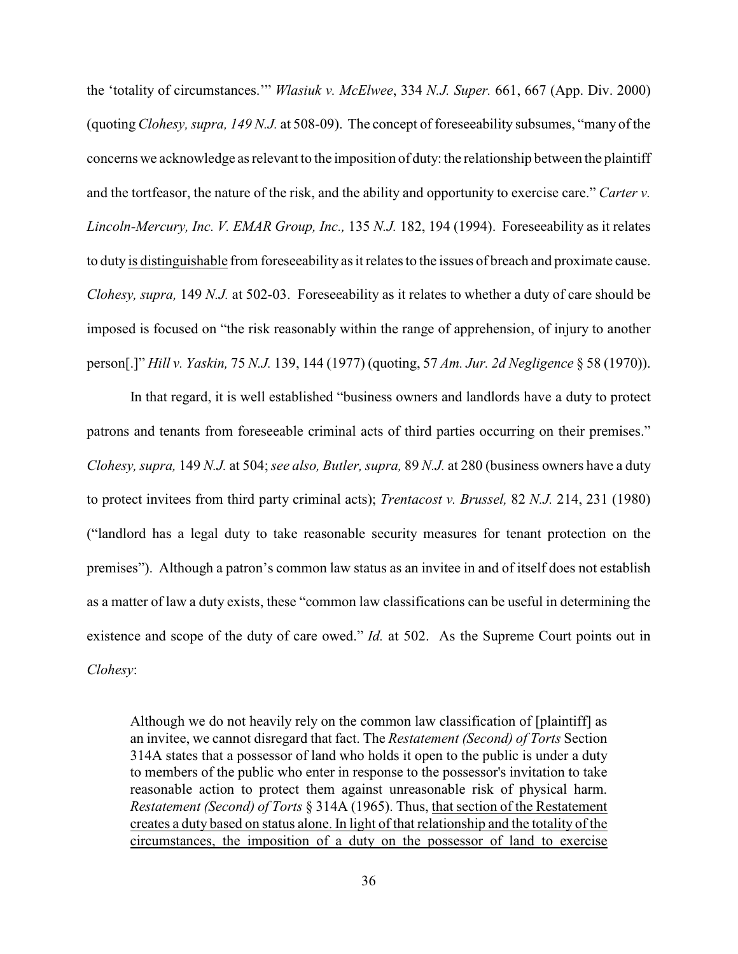the 'totality of circumstances.'" *Wlasiuk v. McElwee*, 334 *N.J. Super.* 661, 667 (App. Div. 2000) (quoting *Clohesy, supra, 149 N.J.* at 508-09). The concept of foreseeability subsumes, "many of the concerns we acknowledge as relevant to the imposition of duty: the relationship between the plaintiff and the tortfeasor, the nature of the risk, and the ability and opportunity to exercise care." *Carter v. Lincoln-Mercury, Inc. V. EMAR Group, Inc.,* 135 *N.J.* 182, 194 (1994). Foreseeability as it relates to duty is distinguishable from foreseeability as it relates to the issues of breach and proximate cause. *Clohesy, supra,* 149 *N.J.* at 502-03. Foreseeability as it relates to whether a duty of care should be imposed is focused on "the risk reasonably within the range of apprehension, of injury to another person[.]" *Hill v. Yaskin,* 75 *N.J.* 139, 144 (1977) (quoting, 57 *Am. Jur. 2d Negligence* § 58 (1970)).

In that regard, it is well established "business owners and landlords have a duty to protect patrons and tenants from foreseeable criminal acts of third parties occurring on their premises." *Clohesy, supra,* 149 *N.J.* at 504; *see also, Butler, supra,* 89 *N.J.* at 280 (business owners have a duty to protect invitees from third party criminal acts); *Trentacost v. Brussel,* 82 *N.J.* 214, 231 (1980) ("landlord has a legal duty to take reasonable security measures for tenant protection on the premises"). Although a patron's common law status as an invitee in and of itself does not establish as a matter of law a duty exists, these "common law classifications can be useful in determining the existence and scope of the duty of care owed." *Id.* at 502. As the Supreme Court points out in *Clohesy*:

Although we do not heavily rely on the common law classification of [plaintiff] as an invitee, we cannot disregard that fact. The *Restatement (Second) of Torts* Section 314A states that a possessor of land who holds it open to the public is under a duty to members of the public who enter in response to the possessor's invitation to take reasonable action to protect them against unreasonable risk of physical harm. *Restatement (Second) of Torts* § 314A (1965). Thus, that section of the Restatement creates a duty based on status alone. In light of that relationship and the totality of the circumstances, the imposition of a duty on the possessor of land to exercise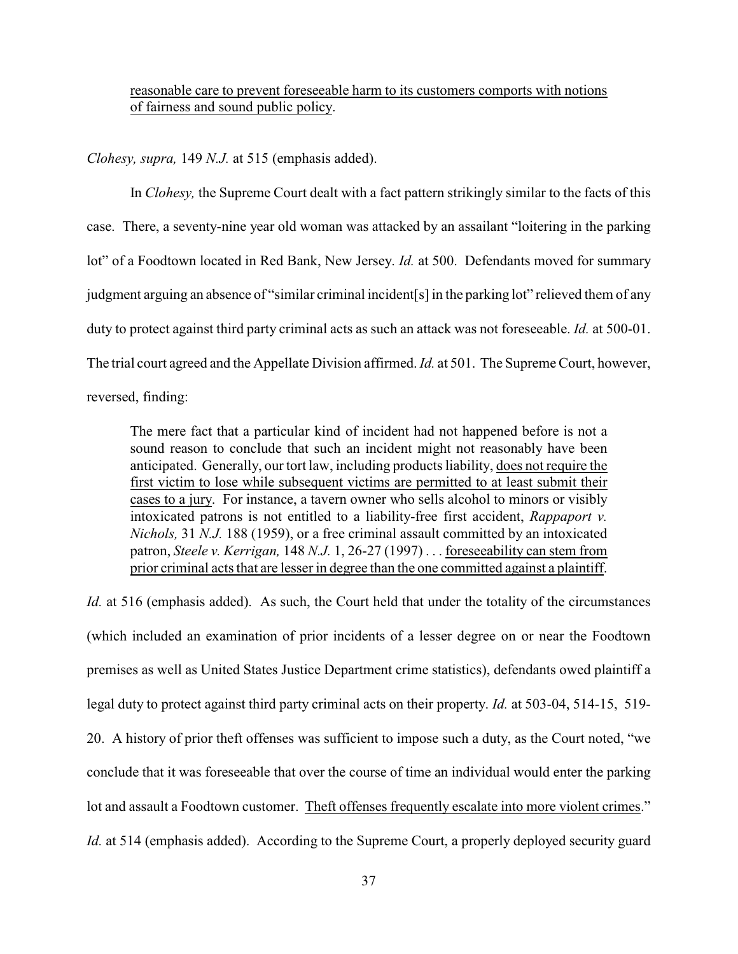#### reasonable care to prevent foreseeable harm to its customers comports with notions of fairness and sound public policy.

*Clohesy, supra,* 149 *N.J.* at 515 (emphasis added).

In *Clohesy,* the Supreme Court dealt with a fact pattern strikingly similar to the facts of this case. There, a seventy-nine year old woman was attacked by an assailant "loitering in the parking lot" of a Foodtown located in Red Bank, New Jersey. *Id.* at 500. Defendants moved for summary judgment arguing an absence of "similar criminal incident[s] in the parking lot" relieved them of any duty to protect against third party criminal acts as such an attack was not foreseeable. *Id.* at 500-01. The trial court agreed and the Appellate Division affirmed. *Id.* at 501. The Supreme Court, however, reversed, finding:

The mere fact that a particular kind of incident had not happened before is not a sound reason to conclude that such an incident might not reasonably have been anticipated. Generally, our tort law, including products liability, does not require the first victim to lose while subsequent victims are permitted to at least submit their cases to a jury. For instance, a tavern owner who sells alcohol to minors or visibly intoxicated patrons is not entitled to a liability-free first accident, *Rappaport v. Nichols,* 31 *N.J.* 188 (1959), or a free criminal assault committed by an intoxicated patron, *Steele v. Kerrigan,* 148 *N.J.* 1, 26-27 (1997) . . . foreseeability can stem from prior criminal acts that are lesser in degree than the one committed against a plaintiff.

*Id.* at 516 (emphasis added). As such, the Court held that under the totality of the circumstances (which included an examination of prior incidents of a lesser degree on or near the Foodtown premises as well as United States Justice Department crime statistics), defendants owed plaintiff a legal duty to protect against third party criminal acts on their property. *Id.* at 503-04, 514-15, 519- 20. A history of prior theft offenses was sufficient to impose such a duty, as the Court noted, "we conclude that it was foreseeable that over the course of time an individual would enter the parking lot and assault a Foodtown customer. Theft offenses frequently escalate into more violent crimes." *Id.* at 514 (emphasis added). According to the Supreme Court, a properly deployed security guard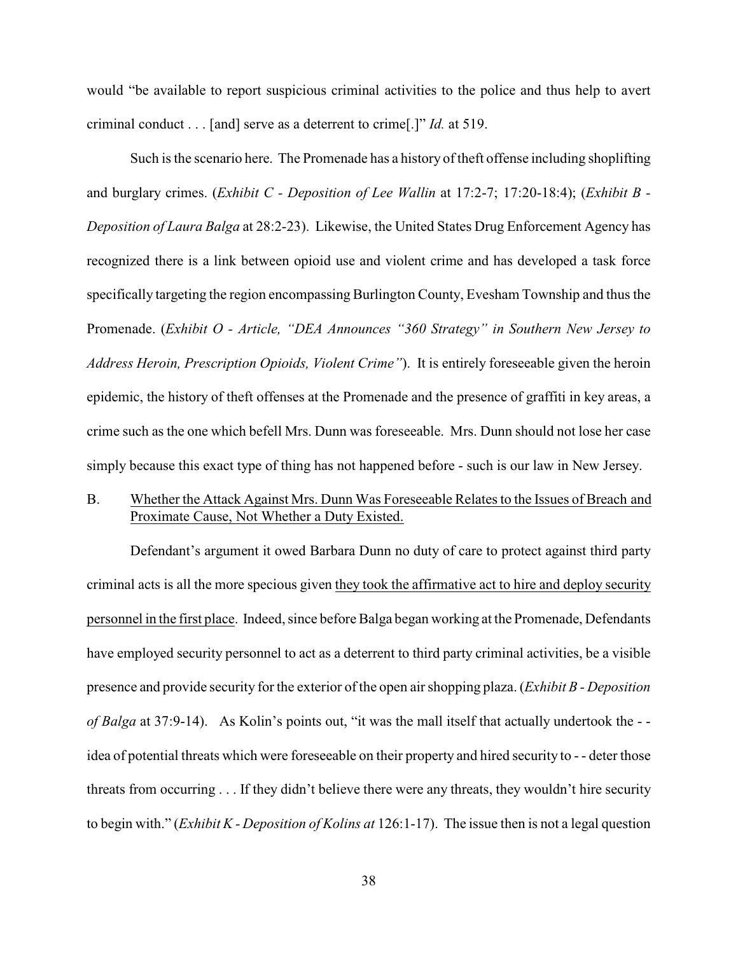would "be available to report suspicious criminal activities to the police and thus help to avert criminal conduct . . . [and] serve as a deterrent to crime[.]" *Id.* at 519.

Such is the scenario here. The Promenade has a history of theft offense including shoplifting and burglary crimes. (*Exhibit C - Deposition of Lee Wallin* at 17:2-7; 17:20-18:4); (*Exhibit B - Deposition of Laura Balga* at 28:2-23). Likewise, the United States Drug Enforcement Agency has recognized there is a link between opioid use and violent crime and has developed a task force specifically targeting the region encompassing Burlington County, Evesham Township and thus the Promenade. (*Exhibit O - Article, "DEA Announces "360 Strategy" in Southern New Jersey to Address Heroin, Prescription Opioids, Violent Crime"*). It is entirely foreseeable given the heroin epidemic, the history of theft offenses at the Promenade and the presence of graffiti in key areas, a crime such as the one which befell Mrs. Dunn was foreseeable. Mrs. Dunn should not lose her case simply because this exact type of thing has not happened before - such is our law in New Jersey.

### B. Whether the Attack Against Mrs. Dunn Was Foreseeable Relates to the Issues of Breach and Proximate Cause, Not Whether a Duty Existed.

Defendant's argument it owed Barbara Dunn no duty of care to protect against third party criminal acts is all the more specious given they took the affirmative act to hire and deploy security personnel in the first place. Indeed, since before Balga began working at the Promenade, Defendants have employed security personnel to act as a deterrent to third party criminal activities, be a visible presence and provide security for the exterior of the open air shopping plaza. (*Exhibit B - Deposition of Balga* at 37:9-14). As Kolin's points out, "it was the mall itself that actually undertook the - idea of potential threats which were foreseeable on their property and hired security to - - deter those threats from occurring . . . If they didn't believe there were any threats, they wouldn't hire security to begin with." (*Exhibit K - Deposition of Kolins at* 126:1-17). The issue then is not a legal question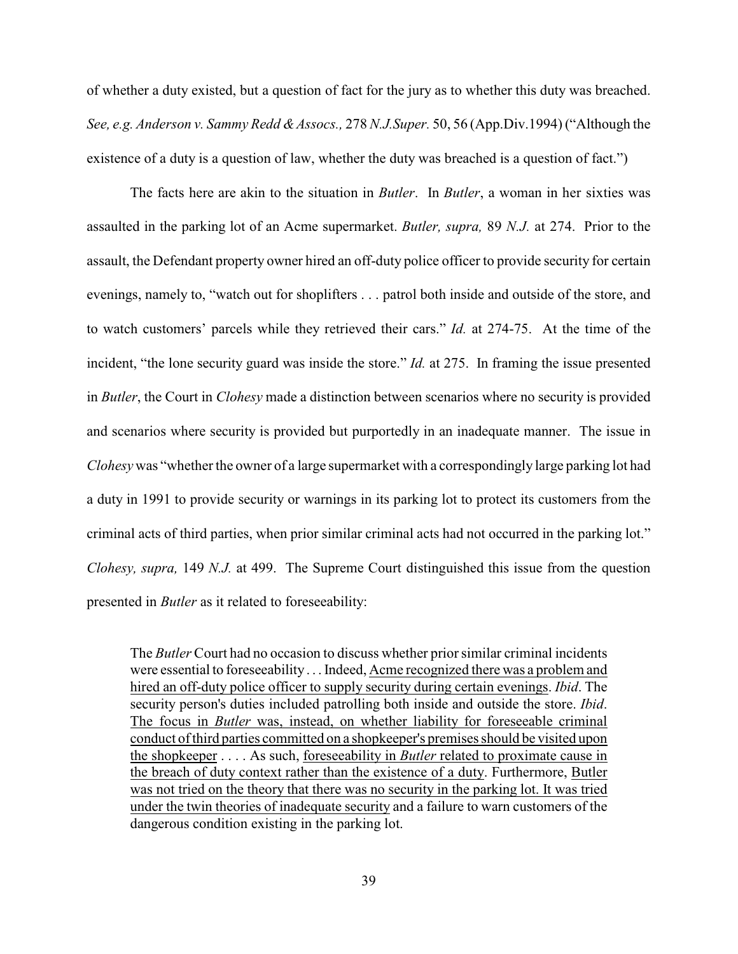of whether a duty existed, but a question of fact for the jury as to whether this duty was breached. *See, e.g. Anderson v. Sammy Redd & Assocs.,* 278 *N.J.Super.* 50, 56 (App.Div.1994) ("Although the existence of a duty is a question of law, whether the duty was breached is a question of fact.")

The facts here are akin to the situation in *Butler*. In *Butler*, a woman in her sixties was assaulted in the parking lot of an Acme supermarket. *Butler, supra,* 89 *N.J.* at 274. Prior to the assault, the Defendant property owner hired an off-duty police officer to provide security for certain evenings, namely to, "watch out for shoplifters . . . patrol both inside and outside of the store, and to watch customers' parcels while they retrieved their cars." *Id.* at 274-75. At the time of the incident, "the lone security guard was inside the store." *Id.* at 275. In framing the issue presented in *Butler*, the Court in *Clohesy* made a distinction between scenarios where no security is provided and scenarios where security is provided but purportedly in an inadequate manner. The issue in *Clohesy* was "whether the owner of a large supermarket with a correspondingly large parking lot had a duty in 1991 to provide security or warnings in its parking lot to protect its customers from the criminal acts of third parties, when prior similar criminal acts had not occurred in the parking lot." *Clohesy, supra,* 149 *N.J.* at 499. The Supreme Court distinguished this issue from the question presented in *Butler* as it related to foreseeability:

The *Butler* Court had no occasion to discuss whether prior similar criminal incidents were essential to foreseeability . . . Indeed, Acme recognized there was a problem and hired an off-duty police officer to supply security during certain evenings. *Ibid*. The security person's duties included patrolling both inside and outside the store. *Ibid*. The focus in *Butler* was, instead, on whether liability for foreseeable criminal conduct of third parties committed on a shopkeeper's premises should be visited upon the shopkeeper . . . . As such, foreseeability in *Butler* related to proximate cause in the breach of duty context rather than the existence of a duty. Furthermore, Butler was not tried on the theory that there was no security in the parking lot. It was tried under the twin theories of inadequate security and a failure to warn customers of the dangerous condition existing in the parking lot.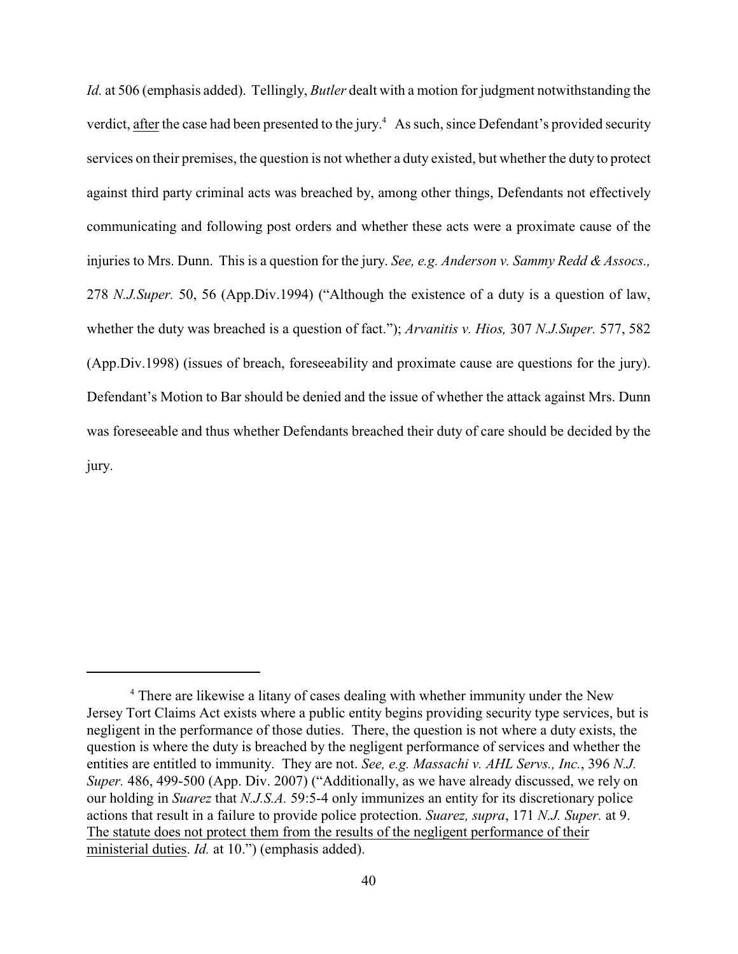*Id.* at 506 (emphasis added). Tellingly, *Butler* dealt with a motion for judgment notwithstanding the verdict, after the case had been presented to the jury.<sup>4</sup> As such, since Defendant's provided security services on their premises, the question is not whether a duty existed, but whether the duty to protect against third party criminal acts was breached by, among other things, Defendants not effectively communicating and following post orders and whether these acts were a proximate cause of the injuries to Mrs. Dunn. This is a question for the jury. *See, e.g. Anderson v. Sammy Redd & Assocs.,* 278 *N.J.Super.* 50, 56 (App.Div.1994) ("Although the existence of a duty is a question of law, whether the duty was breached is a question of fact."); *Arvanitis v. Hios,* 307 *N.J.Super.* 577, 582 (App.Div.1998) (issues of breach, foreseeability and proximate cause are questions for the jury). Defendant's Motion to Bar should be denied and the issue of whether the attack against Mrs. Dunn was foreseeable and thus whether Defendants breached their duty of care should be decided by the jury.

<sup>&</sup>lt;sup>4</sup> There are likewise a litany of cases dealing with whether immunity under the New Jersey Tort Claims Act exists where a public entity begins providing security type services, but is negligent in the performance of those duties. There, the question is not where a duty exists, the question is where the duty is breached by the negligent performance of services and whether the entities are entitled to immunity. They are not. *See, e.g. Massachi v. AHL Servs., Inc.*, 396 *N.J. Super.* 486, 499-500 (App. Div. 2007) ("Additionally, as we have already discussed, we rely on our holding in *Suarez* that *N.J.S.A.* 59:5-4 only immunizes an entity for its discretionary police actions that result in a failure to provide police protection. *Suarez, supra*, 171 *N.J. Super.* at 9. The statute does not protect them from the results of the negligent performance of their ministerial duties. *Id.* at 10.") (emphasis added).